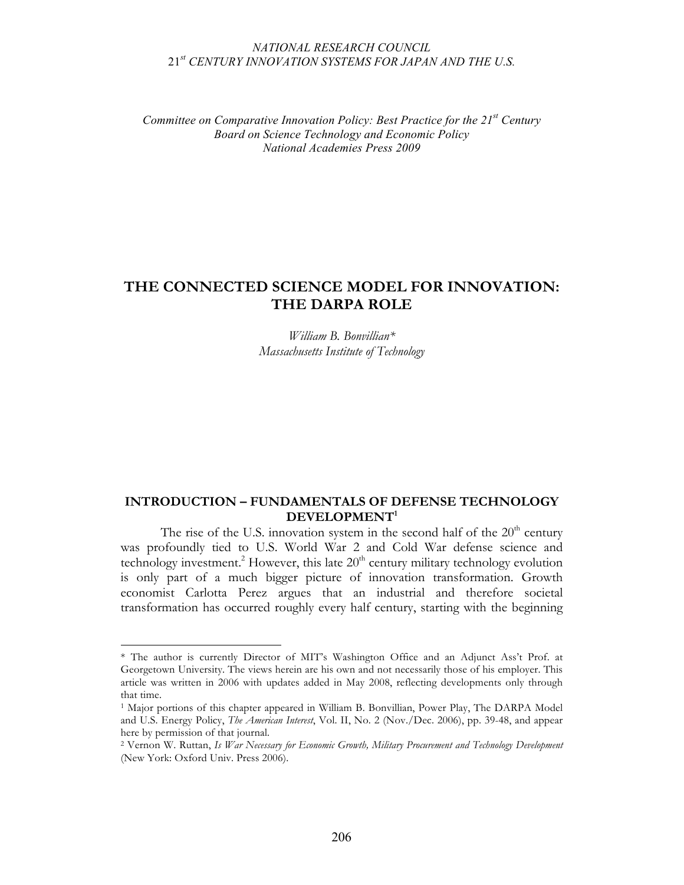*Committee on Comparative Innovation Policy: Best Practice for the 21st Century Board on Science Technology and Economic Policy National Academies Press 2009*

# **THE CONNECTED SCIENCE MODEL FOR INNOVATION: THE DARPA ROLE**

*William B. Bonvillian\* Massachusetts Institute of Technology*

# **INTRODUCTION – FUNDAMENTALS OF DEFENSE TECHNOLOGY DEVELOPMENT1**

The rise of the U.S. innovation system in the second half of the  $20<sup>th</sup>$  century was profoundly tied to U.S. World War 2 and Cold War defense science and technology investment.<sup>2</sup> However, this late  $20<sup>th</sup>$  century military technology evolution is only part of a much bigger picture of innovation transformation. Growth economist Carlotta Perez argues that an industrial and therefore societal transformation has occurred roughly every half century, starting with the beginning

<sup>\*</sup> The author is currently Director of MIT's Washington Office and an Adjunct Ass't Prof. at Georgetown University. The views herein are his own and not necessarily those of his employer. This article was written in 2006 with updates added in May 2008, reflecting developments only through that time.

<sup>&</sup>lt;sup>1</sup> Major portions of this chapter appeared in William B. Bonvillian, Power Play, The DARPA Model and U.S. Energy Policy, *The American Interest*, Vol. II, No. 2 (Nov./Dec. 2006), pp. 39-48, and appear here by permission of that journal.

<sup>2</sup> Vernon W. Ruttan, *Is War Necessary for Economic Growth, Military Procurement and Technology Development* (New York: Oxford Univ. Press 2006).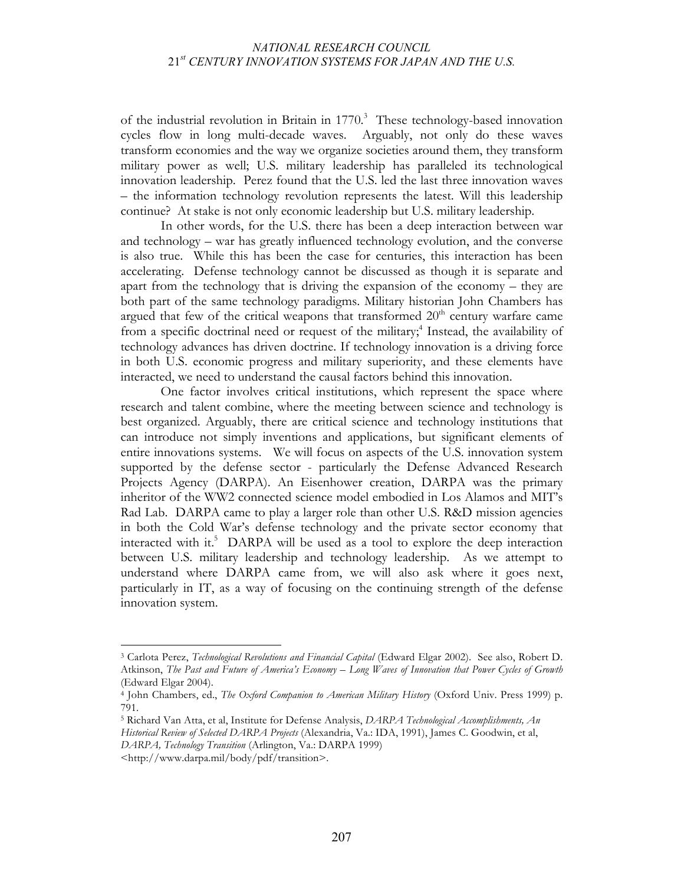of the industrial revolution in Britain in 1770.<sup>3</sup> These technology-based innovation cycles flow in long multi-decade waves. Arguably, not only do these waves transform economies and the way we organize societies around them, they transform military power as well; U.S. military leadership has paralleled its technological innovation leadership. Perez found that the U.S. led the last three innovation waves – the information technology revolution represents the latest. Will this leadership continue? At stake is not only economic leadership but U.S. military leadership.

In other words, for the U.S. there has been a deep interaction between war and technology – war has greatly influenced technology evolution, and the converse is also true. While this has been the case for centuries, this interaction has been accelerating. Defense technology cannot be discussed as though it is separate and apart from the technology that is driving the expansion of the economy – they are both part of the same technology paradigms. Military historian John Chambers has argued that few of the critical weapons that transformed  $20<sup>th</sup>$  century warfare came from a specific doctrinal need or request of the military;<sup>4</sup> Instead, the availability of technology advances has driven doctrine. If technology innovation is a driving force in both U.S. economic progress and military superiority, and these elements have interacted, we need to understand the causal factors behind this innovation.

One factor involves critical institutions, which represent the space where research and talent combine, where the meeting between science and technology is best organized. Arguably, there are critical science and technology institutions that can introduce not simply inventions and applications, but significant elements of entire innovations systems. We will focus on aspects of the U.S. innovation system supported by the defense sector - particularly the Defense Advanced Research Projects Agency (DARPA). An Eisenhower creation, DARPA was the primary inheritor of the WW2 connected science model embodied in Los Alamos and MIT's Rad Lab. DARPA came to play a larger role than other U.S. R&D mission agencies in both the Cold War's defense technology and the private sector economy that interacted with it.<sup>5</sup> DARPA will be used as a tool to explore the deep interaction between U.S. military leadership and technology leadership. As we attempt to understand where DARPA came from, we will also ask where it goes next, particularly in IT, as a way of focusing on the continuing strength of the defense innovation system.

<sup>3</sup> Carlota Perez, *Technological Revolutions and Financial Capital* (Edward Elgar 2002). See also, Robert D. Atkinson, *The Past and Future of America's Economy – Long Waves of Innovation that Power Cycles of Growth* (Edward Elgar 2004).

<sup>4</sup> John Chambers, ed., *The Oxford Companion to American Military History* (Oxford Univ. Press 1999) p. 791.

<sup>5</sup> Richard Van Atta, et al, Institute for Defense Analysis, *DARPA Technological Accomplishments, An Historical Review of Selected DARPA Projects* (Alexandria, Va.: IDA, 1991), James C. Goodwin, et al,

*DARPA, Technology Transition* (Arlington, Va.: DARPA 1999)

<sup>&</sup>lt;http://www.darpa.mil/body/pdf/transition>.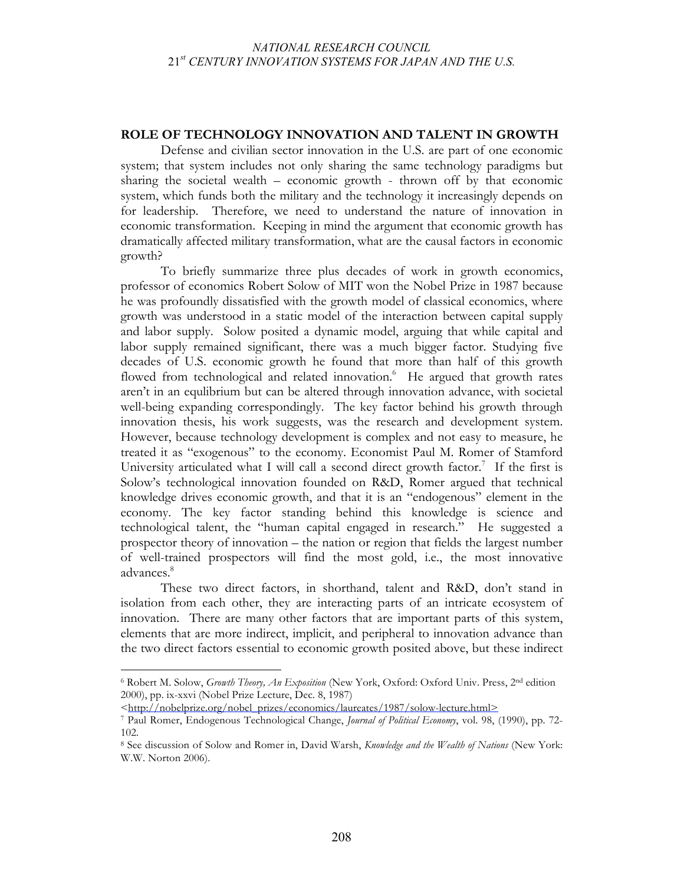### **ROLE OF TECHNOLOGY INNOVATION AND TALENT IN GROWTH**

Defense and civilian sector innovation in the U.S. are part of one economic system; that system includes not only sharing the same technology paradigms but sharing the societal wealth – economic growth - thrown off by that economic system, which funds both the military and the technology it increasingly depends on for leadership. Therefore, we need to understand the nature of innovation in economic transformation. Keeping in mind the argument that economic growth has dramatically affected military transformation, what are the causal factors in economic growth?

To briefly summarize three plus decades of work in growth economics, professor of economics Robert Solow of MIT won the Nobel Prize in 1987 because he was profoundly dissatisfied with the growth model of classical economics, where growth was understood in a static model of the interaction between capital supply and labor supply. Solow posited a dynamic model, arguing that while capital and labor supply remained significant, there was a much bigger factor. Studying five decades of U.S. economic growth he found that more than half of this growth flowed from technological and related innovation.<sup>6</sup> He argued that growth rates aren't in an equlibrium but can be altered through innovation advance, with societal well-being expanding correspondingly. The key factor behind his growth through innovation thesis, his work suggests, was the research and development system. However, because technology development is complex and not easy to measure, he treated it as "exogenous" to the economy. Economist Paul M. Romer of Stamford University articulated what I will call a second direct growth factor.<sup>7</sup> If the first is Solow's technological innovation founded on R&D, Romer argued that technical knowledge drives economic growth, and that it is an "endogenous" element in the economy. The key factor standing behind this knowledge is science and technological talent, the "human capital engaged in research." He suggested a prospector theory of innovation – the nation or region that fields the largest number of well-trained prospectors will find the most gold, i.e., the most innovative advances.<sup>8</sup>

These two direct factors, in shorthand, talent and R&D, don't stand in isolation from each other, they are interacting parts of an intricate ecosystem of innovation. There are many other factors that are important parts of this system, elements that are more indirect, implicit, and peripheral to innovation advance than the two direct factors essential to economic growth posited above, but these indirect

<sup>6</sup> Robert M. Solow, *Growth Theory, An Exposition* (New York, Oxford: Oxford Univ. Press, 2nd edition 2000), pp. ix-xxvi (Nobel Prize Lecture, Dec. 8, 1987)

<sup>&</sup>lt;http://nobelprize.org/nobel\_prizes/economics/laureates/1987/solow-lecture.html>

<sup>7</sup> Paul Romer, Endogenous Technological Change, *Journal of Political Economy*, vol. 98, (1990), pp. 72- 102.

<sup>8</sup> See discussion of Solow and Romer in, David Warsh, *Knowledge and the Wealth of Nations* (New York: W.W. Norton 2006).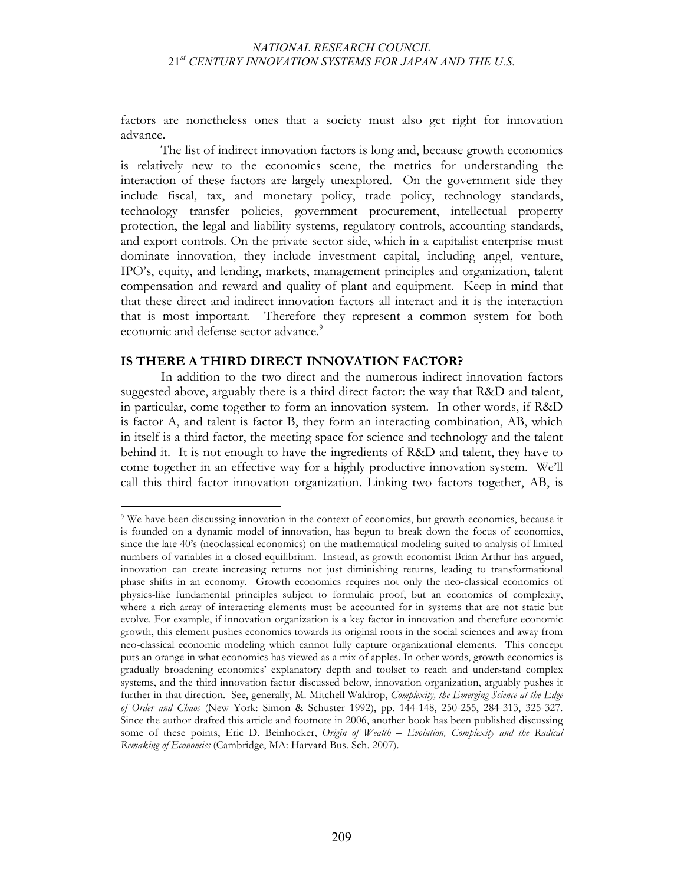factors are nonetheless ones that a society must also get right for innovation advance.

The list of indirect innovation factors is long and, because growth economics is relatively new to the economics scene, the metrics for understanding the interaction of these factors are largely unexplored. On the government side they include fiscal, tax, and monetary policy, trade policy, technology standards, technology transfer policies, government procurement, intellectual property protection, the legal and liability systems, regulatory controls, accounting standards, and export controls. On the private sector side, which in a capitalist enterprise must dominate innovation, they include investment capital, including angel, venture, IPO's, equity, and lending, markets, management principles and organization, talent compensation and reward and quality of plant and equipment. Keep in mind that that these direct and indirect innovation factors all interact and it is the interaction that is most important. Therefore they represent a common system for both economic and defense sector advance.<sup>9</sup>

### **IS THERE A THIRD DIRECT INNOVATION FACTOR?**

 $\overline{a}$ 

In addition to the two direct and the numerous indirect innovation factors suggested above, arguably there is a third direct factor: the way that R&D and talent, in particular, come together to form an innovation system. In other words, if R&D is factor A, and talent is factor B, they form an interacting combination, AB, which in itself is a third factor, the meeting space for science and technology and the talent behind it. It is not enough to have the ingredients of R&D and talent, they have to come together in an effective way for a highly productive innovation system. We'll call this third factor innovation organization. Linking two factors together, AB, is

<sup>9</sup> We have been discussing innovation in the context of economics, but growth economics, because it is founded on a dynamic model of innovation, has begun to break down the focus of economics, since the late 40's (neoclassical economics) on the mathematical modeling suited to analysis of limited numbers of variables in a closed equilibrium. Instead, as growth economist Brian Arthur has argued, innovation can create increasing returns not just diminishing returns, leading to transformational phase shifts in an economy. Growth economics requires not only the neo-classical economics of physics-like fundamental principles subject to formulaic proof, but an economics of complexity, where a rich array of interacting elements must be accounted for in systems that are not static but evolve. For example, if innovation organization is a key factor in innovation and therefore economic growth, this element pushes economics towards its original roots in the social sciences and away from neo-classical economic modeling which cannot fully capture organizational elements. This concept puts an orange in what economics has viewed as a mix of apples. In other words, growth economics is gradually broadening economics' explanatory depth and toolset to reach and understand complex systems, and the third innovation factor discussed below, innovation organization, arguably pushes it further in that direction. See, generally, M. Mitchell Waldrop, *Complexity, the Emerging Science at the Edge of Order and Chaos* (New York: Simon & Schuster 1992), pp. 144-148, 250-255, 284-313, 325-327. Since the author drafted this article and footnote in 2006, another book has been published discussing some of these points, Eric D. Beinhocker, *Origin of Wealth – Evolution, Complexity and the Radical Remaking of Economics* (Cambridge, MA: Harvard Bus. Sch. 2007).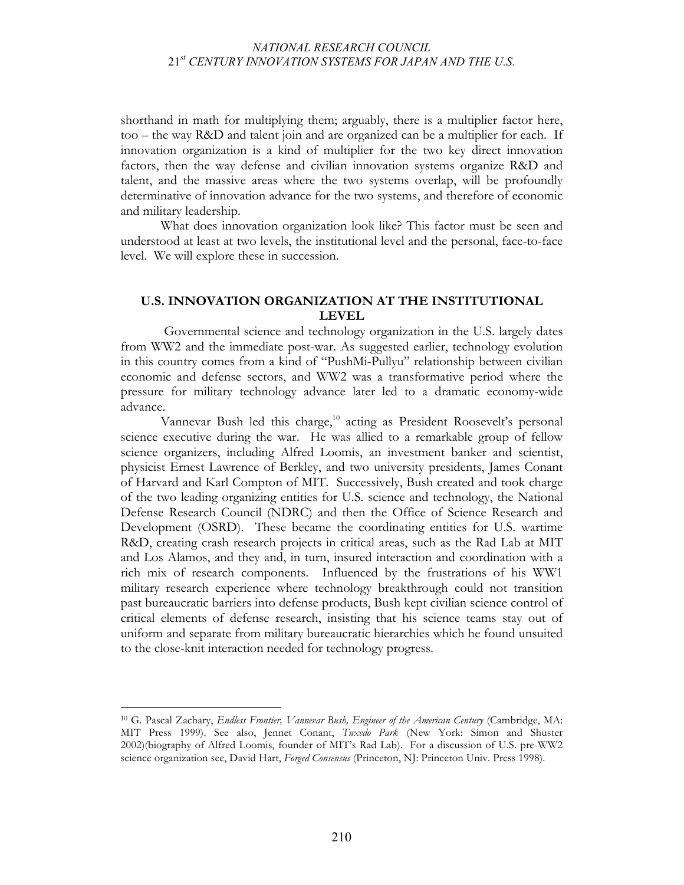shorthand in math for multiplying them; arguably, there is a multiplier factor here, too – the way R&D and talent join and are organized can be a multiplier for each. If innovation organization is a kind of multiplier for the two key direct innovation factors, then the way defense and civilian innovation systems organize R&D and talent, and the massive areas where the two systems overlap, will be profoundly determinative of innovation advance for the two systems, and therefore of economic and military leadership.

What does innovation organization look like? This factor must be seen and understood at least at two levels, the institutional level and the personal, face-to-face level. We will explore these in succession.

# **U.S. INNOVATION ORGANIZATION AT THE INSTITUTIONAL LEVEL**

Governmental science and technology organization in the U.S. largely dates from WW2 and the immediate post-war. As suggested earlier, technology evolution in this country comes from a kind of "PushMi-Pullyu" relationship between civilian economic and defense sectors, and WW2 was a transformative period where the pressure for military technology advance later led to a dramatic economy-wide advance.

Vannevar Bush led this charge,<sup>10</sup> acting as President Roosevelt's personal science executive during the war. He was allied to a remarkable group of fellow science organizers, including Alfred Loomis, an investment banker and scientist, physicist Ernest Lawrence of Berkley, and two university presidents, James Conant of Harvard and Karl Compton of MIT. Successively, Bush created and took charge of the two leading organizing entities for U.S. science and technology, the National Defense Research Council (NDRC) and then the Office of Science Research and Development (OSRD). These became the coordinating entities for U.S. wartime R&D, creating crash research projects in critical areas, such as the Rad Lab at MIT and Los Alamos, and they and, in turn, insured interaction and coordination with a rich mix of research components. Influenced by the frustrations of his WW1 military research experience where technology breakthrough could not transition past bureaucratic barriers into defense products, Bush kept civilian science control of critical elements of defense research, insisting that his science teams stay out of uniform and separate from military bureaucratic hierarchies which he found unsuited to the close-knit interaction needed for technology progress.

<sup>10</sup> G. Pascal Zachary, *Endless Frontier, Vannevar Bush, Engineer of the American Century* (Cambridge, MA: MIT Press 1999). See also, Jennet Conant, *Tuxedo Park* (New York: Simon and Shuster 2002)(biography of Alfred Loomis, founder of MIT's Rad Lab). For a discussion of U.S. pre-WW2 science organization see, David Hart, *Forged Consensus* (Princeton, NJ: Princeton Univ. Press 1998).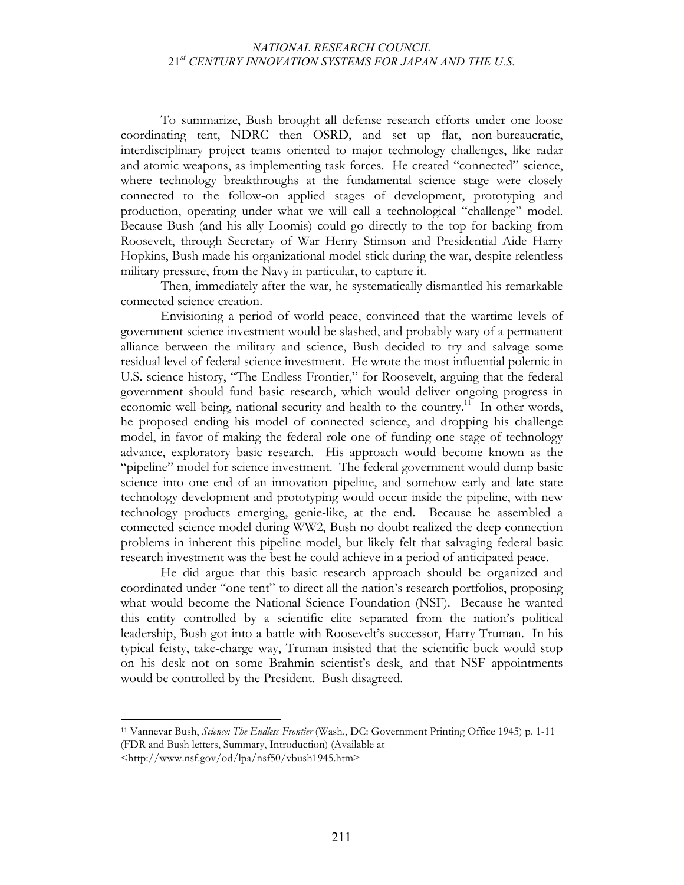To summarize, Bush brought all defense research efforts under one loose coordinating tent, NDRC then OSRD, and set up flat, non-bureaucratic, interdisciplinary project teams oriented to major technology challenges, like radar and atomic weapons, as implementing task forces. He created "connected" science, where technology breakthroughs at the fundamental science stage were closely connected to the follow-on applied stages of development, prototyping and production, operating under what we will call a technological "challenge" model. Because Bush (and his ally Loomis) could go directly to the top for backing from Roosevelt, through Secretary of War Henry Stimson and Presidential Aide Harry Hopkins, Bush made his organizational model stick during the war, despite relentless military pressure, from the Navy in particular, to capture it.

Then, immediately after the war, he systematically dismantled his remarkable connected science creation.

Envisioning a period of world peace, convinced that the wartime levels of government science investment would be slashed, and probably wary of a permanent alliance between the military and science, Bush decided to try and salvage some residual level of federal science investment. He wrote the most influential polemic in U.S. science history, "The Endless Frontier," for Roosevelt, arguing that the federal government should fund basic research, which would deliver ongoing progress in economic well-being, national security and health to the country.<sup>11</sup> In other words, he proposed ending his model of connected science, and dropping his challenge model, in favor of making the federal role one of funding one stage of technology advance, exploratory basic research. His approach would become known as the "pipeline" model for science investment. The federal government would dump basic science into one end of an innovation pipeline, and somehow early and late state technology development and prototyping would occur inside the pipeline, with new technology products emerging, genie-like, at the end. Because he assembled a connected science model during WW2, Bush no doubt realized the deep connection problems in inherent this pipeline model, but likely felt that salvaging federal basic research investment was the best he could achieve in a period of anticipated peace.

He did argue that this basic research approach should be organized and coordinated under "one tent" to direct all the nation's research portfolios, proposing what would become the National Science Foundation (NSF). Because he wanted this entity controlled by a scientific elite separated from the nation's political leadership, Bush got into a battle with Roosevelt's successor, Harry Truman. In his typical feisty, take-charge way, Truman insisted that the scientific buck would stop on his desk not on some Brahmin scientist's desk, and that NSF appointments would be controlled by the President. Bush disagreed.

<sup>11</sup> Vannevar Bush, *Science: The Endless Frontier* (Wash., DC: Government Printing Office 1945) p. 1-11 (FDR and Bush letters, Summary, Introduction) (Available at

<sup>&</sup>lt;http://www.nsf.gov/od/lpa/nsf50/vbush1945.htm>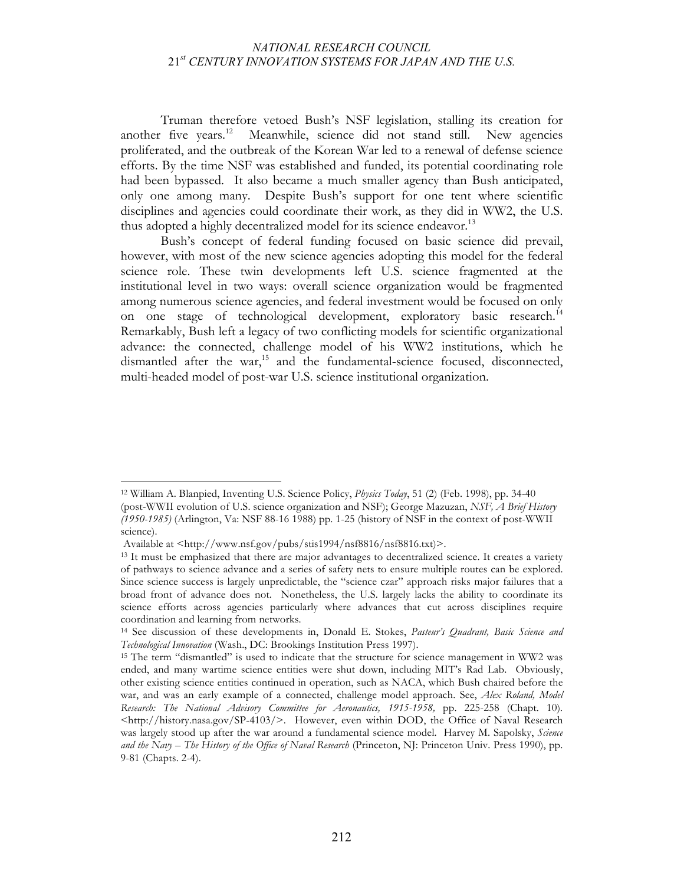Truman therefore vetoed Bush's NSF legislation, stalling its creation for another five years.<sup>12</sup> Meanwhile, science did not stand still. New agencies proliferated, and the outbreak of the Korean War led to a renewal of defense science efforts. By the time NSF was established and funded, its potential coordinating role had been bypassed. It also became a much smaller agency than Bush anticipated, only one among many. Despite Bush's support for one tent where scientific disciplines and agencies could coordinate their work, as they did in WW2, the U.S. thus adopted a highly decentralized model for its science endeavor.<sup>13</sup>

Bush's concept of federal funding focused on basic science did prevail, however, with most of the new science agencies adopting this model for the federal science role. These twin developments left U.S. science fragmented at the institutional level in two ways: overall science organization would be fragmented among numerous science agencies, and federal investment would be focused on only on one stage of technological development, exploratory basic research.<sup>14</sup> Remarkably, Bush left a legacy of two conflicting models for scientific organizational advance: the connected, challenge model of his WW2 institutions, which he dismantled after the war, $^{15}$  and the fundamental-science focused, disconnected, multi-headed model of post-war U.S. science institutional organization.

<sup>12</sup> William A. Blanpied, Inventing U.S. Science Policy, *Physics Today*, 51 (2) (Feb. 1998), pp. 34-40 (post-WWII evolution of U.S. science organization and NSF); George Mazuzan, *NSF, A Brief History (1950-1985)* (Arlington, Va: NSF 88-16 1988) pp. 1-25 (history of NSF in the context of post-WWII science).

Available at <http://www.nsf.gov/pubs/stis1994/nsf8816/nsf8816.txt)>. 13 It must be emphasized that there are major advantages to decentralized science. It creates a variety of pathways to science advance and a series of safety nets to ensure multiple routes can be explored. Since science success is largely unpredictable, the "science czar" approach risks major failures that a broad front of advance does not. Nonetheless, the U.S. largely lacks the ability to coordinate its science efforts across agencies particularly where advances that cut across disciplines require coordination and learning from networks.

<sup>14</sup> See discussion of these developments in, Donald E. Stokes, *Pasteur's Quadrant, Basic Science and Technological Innovation* (Wash., DC: Brookings Institution Press 1997). 15 The term "dismantled" is used to indicate that the structure for science management in WW2 was

ended, and many wartime science entities were shut down, including MIT's Rad Lab. Obviously, other existing science entities continued in operation, such as NACA, which Bush chaired before the war, and was an early example of a connected, challenge model approach. See, *Alex Roland, Model Research: The National Advisory Committee for Aeronautics, 1915-1958,* pp. 225-258 (Chapt. 10)*.* <http://history.nasa.gov/SP-4103/>. However, even within DOD, the Office of Naval Research was largely stood up after the war around a fundamental science model. Harvey M. Sapolsky, *Science and the Navy – The History of the Office of Naval Research* (Princeton, NJ: Princeton Univ. Press 1990), pp. 9-81 (Chapts. 2-4).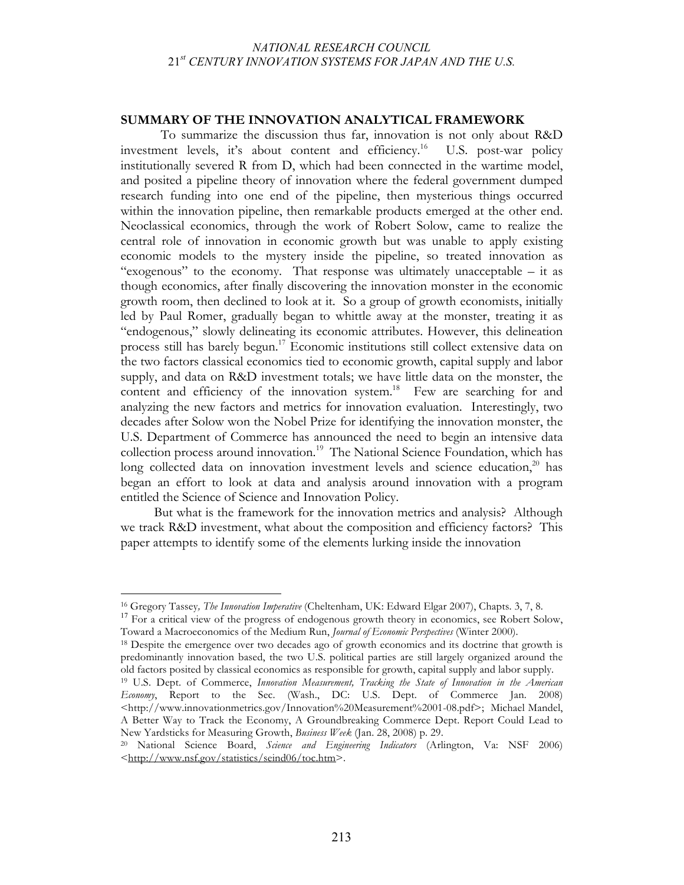### **SUMMARY OF THE INNOVATION ANALYTICAL FRAMEWORK**

To summarize the discussion thus far, innovation is not only about R&D investment levels, it's about content and efficiency.<sup>16</sup> U.S. post-war policy institutionally severed R from D, which had been connected in the wartime model, and posited a pipeline theory of innovation where the federal government dumped research funding into one end of the pipeline, then mysterious things occurred within the innovation pipeline, then remarkable products emerged at the other end. Neoclassical economics, through the work of Robert Solow, came to realize the central role of innovation in economic growth but was unable to apply existing economic models to the mystery inside the pipeline, so treated innovation as "exogenous" to the economy. That response was ultimately unacceptable – it as though economics, after finally discovering the innovation monster in the economic growth room, then declined to look at it. So a group of growth economists, initially led by Paul Romer, gradually began to whittle away at the monster, treating it as "endogenous," slowly delineating its economic attributes. However, this delineation process still has barely begun.17 Economic institutions still collect extensive data on the two factors classical economics tied to economic growth, capital supply and labor supply, and data on R&D investment totals; we have little data on the monster, the content and efficiency of the innovation system.<sup>18</sup> Few are searching for and analyzing the new factors and metrics for innovation evaluation. Interestingly, two decades after Solow won the Nobel Prize for identifying the innovation monster, the U.S. Department of Commerce has announced the need to begin an intensive data collection process around innovation.<sup>19</sup> The National Science Foundation, which has long collected data on innovation investment levels and science education, $2^{\circ}$  has began an effort to look at data and analysis around innovation with a program entitled the Science of Science and Innovation Policy.

 But what is the framework for the innovation metrics and analysis? Although we track R&D investment, what about the composition and efficiency factors? This paper attempts to identify some of the elements lurking inside the innovation

<sup>&</sup>lt;sup>16</sup> Gregory Tassey, *The Innovation Imperative* (Cheltenham, UK: Edward Elgar 2007), Chapts. 3, 7, 8.<br><sup>17</sup> For a critical view of the progress of endogenous growth theory in economics, see Robert Solow, Toward a Macroeconomics of the Medium Run, *Journal of Economic Perspectives* (Winter 2000).

<sup>&</sup>lt;sup>18</sup> Despite the emergence over two decades ago of growth economics and its doctrine that growth is predominantly innovation based, the two U.S. political parties are still largely organized around the old factors posited by classical economics as responsible for growth, capital supply and labor supply.

<sup>19</sup> U.S. Dept. of Commerce, *Innovation Measurement, Tracking the State of Innovation in the American Economy*, Report to the Sec. (Wash., DC: U.S. Dept. of Commerce Jan. 2008) <http://www.innovationmetrics.gov/Innovation%20Measurement%2001-08.pdf>; Michael Mandel, A Better Way to Track the Economy, A Groundbreaking Commerce Dept. Report Could Lead to New Yardsticks for Measuring Growth, *Business Week* (Jan. 28, 2008) p. 29.

<sup>20</sup> National Science Board, *Science and Engineering Indicators* (Arlington, Va: NSF 2006) <http://www.nsf.gov/statistics/seind06/toc.htm>.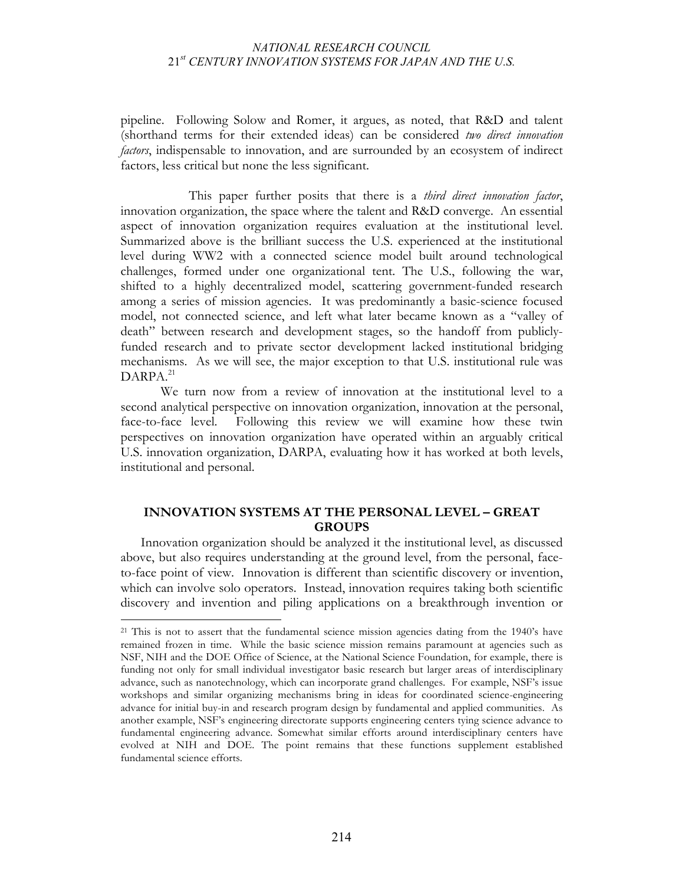pipeline. Following Solow and Romer, it argues, as noted, that R&D and talent (shorthand terms for their extended ideas) can be considered *two direct innovation factors*, indispensable to innovation, and are surrounded by an ecosystem of indirect factors, less critical but none the less significant.

 This paper further posits that there is a *third direct innovation factor*, innovation organization, the space where the talent and R&D converge. An essential aspect of innovation organization requires evaluation at the institutional level. Summarized above is the brilliant success the U.S. experienced at the institutional level during WW2 with a connected science model built around technological challenges, formed under one organizational tent. The U.S., following the war, shifted to a highly decentralized model, scattering government-funded research among a series of mission agencies. It was predominantly a basic-science focused model, not connected science, and left what later became known as a "valley of death" between research and development stages, so the handoff from publiclyfunded research and to private sector development lacked institutional bridging mechanisms. As we will see, the major exception to that U.S. institutional rule was DARPA.<sup>21</sup>

We turn now from a review of innovation at the institutional level to a second analytical perspective on innovation organization, innovation at the personal, face-to-face level. Following this review we will examine how these twin perspectives on innovation organization have operated within an arguably critical U.S. innovation organization, DARPA, evaluating how it has worked at both levels, institutional and personal.

# **INNOVATION SYSTEMS AT THE PERSONAL LEVEL – GREAT GROUPS**

Innovation organization should be analyzed it the institutional level, as discussed above, but also requires understanding at the ground level, from the personal, faceto-face point of view. Innovation is different than scientific discovery or invention, which can involve solo operators. Instead, innovation requires taking both scientific discovery and invention and piling applications on a breakthrough invention or

<sup>&</sup>lt;sup>21</sup> This is not to assert that the fundamental science mission agencies dating from the 1940's have remained frozen in time. While the basic science mission remains paramount at agencies such as NSF, NIH and the DOE Office of Science, at the National Science Foundation, for example, there is funding not only for small individual investigator basic research but larger areas of interdisciplinary advance, such as nanotechnology, which can incorporate grand challenges. For example, NSF's issue workshops and similar organizing mechanisms bring in ideas for coordinated science-engineering advance for initial buy-in and research program design by fundamental and applied communities. As another example, NSF's engineering directorate supports engineering centers tying science advance to fundamental engineering advance. Somewhat similar efforts around interdisciplinary centers have evolved at NIH and DOE. The point remains that these functions supplement established fundamental science efforts.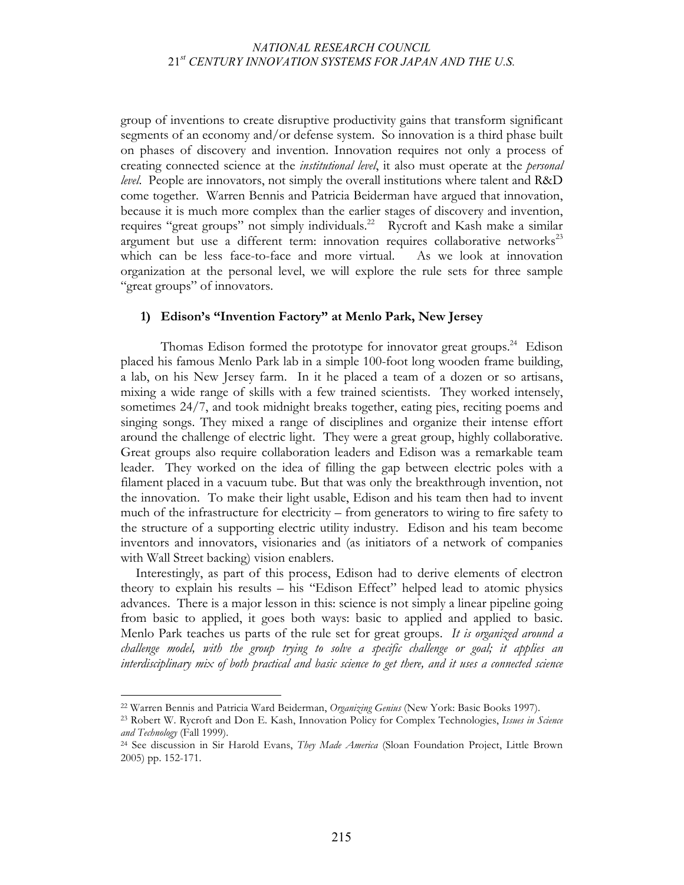group of inventions to create disruptive productivity gains that transform significant segments of an economy and/or defense system. So innovation is a third phase built on phases of discovery and invention. Innovation requires not only a process of creating connected science at the *institutional level*, it also must operate at the *personal level*. People are innovators, not simply the overall institutions where talent and R&D come together. Warren Bennis and Patricia Beiderman have argued that innovation, because it is much more complex than the earlier stages of discovery and invention, requires "great groups" not simply individuals.<sup>22</sup> Rycroft and Kash make a similar argument but use a different term: innovation requires collaborative networks<sup>23</sup> which can be less face-to-face and more virtual. As we look at innovation organization at the personal level, we will explore the rule sets for three sample "great groups" of innovators.

# **1) Edison's "Invention Factory" at Menlo Park, New Jersey**

Thomas Edison formed the prototype for innovator great groups.<sup>24</sup> Edison placed his famous Menlo Park lab in a simple 100-foot long wooden frame building, a lab, on his New Jersey farm. In it he placed a team of a dozen or so artisans, mixing a wide range of skills with a few trained scientists. They worked intensely, sometimes 24/7, and took midnight breaks together, eating pies, reciting poems and singing songs. They mixed a range of disciplines and organize their intense effort around the challenge of electric light. They were a great group, highly collaborative. Great groups also require collaboration leaders and Edison was a remarkable team leader. They worked on the idea of filling the gap between electric poles with a filament placed in a vacuum tube. But that was only the breakthrough invention, not the innovation. To make their light usable, Edison and his team then had to invent much of the infrastructure for electricity – from generators to wiring to fire safety to the structure of a supporting electric utility industry. Edison and his team become inventors and innovators, visionaries and (as initiators of a network of companies with Wall Street backing) vision enablers.

Interestingly, as part of this process, Edison had to derive elements of electron theory to explain his results – his "Edison Effect" helped lead to atomic physics advances. There is a major lesson in this: science is not simply a linear pipeline going from basic to applied, it goes both ways: basic to applied and applied to basic. Menlo Park teaches us parts of the rule set for great groups. *It is organized around a challenge model, with the group trying to solve a specific challenge or goal; it applies an interdisciplinary mix of both practical and basic science to get there, and it uses a connected science* 

<sup>22</sup> Warren Bennis and Patricia Ward Beiderman, *Organizing Genius* (New York: Basic Books 1997).

<sup>23</sup> Robert W. Rycroft and Don E. Kash, Innovation Policy for Complex Technologies, *Issues in Science and Technology* (Fall 1999). 24 See discussion in Sir Harold Evans, *They Made America* (Sloan Foundation Project, Little Brown

<sup>2005)</sup> pp. 152-171.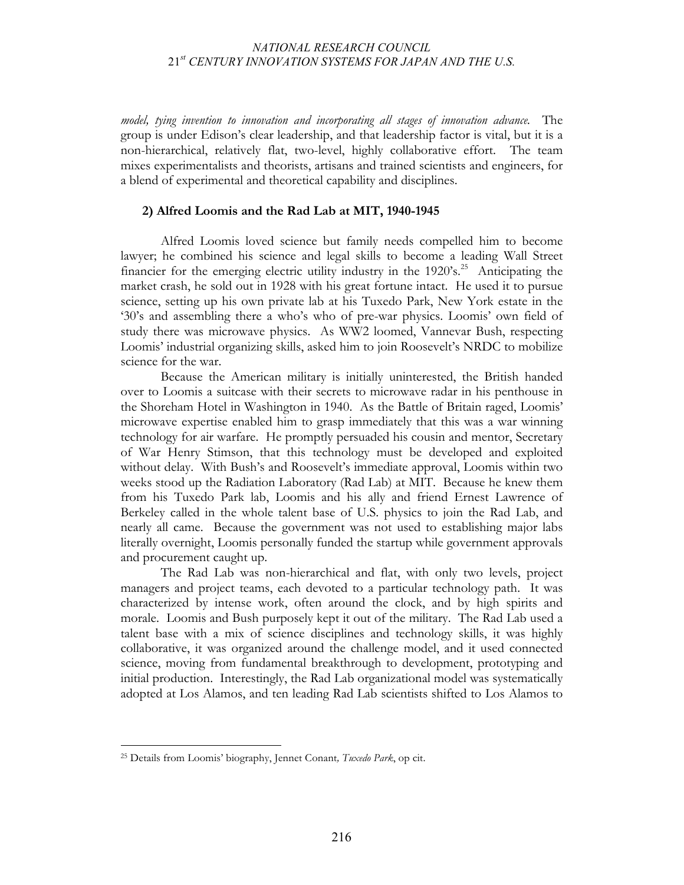*model, tying invention to innovation and incorporating all stages of innovation advance.* The group is under Edison's clear leadership, and that leadership factor is vital, but it is a non-hierarchical, relatively flat, two-level, highly collaborative effort. The team mixes experimentalists and theorists, artisans and trained scientists and engineers, for a blend of experimental and theoretical capability and disciplines.

#### **2) Alfred Loomis and the Rad Lab at MIT, 1940-1945**

Alfred Loomis loved science but family needs compelled him to become lawyer; he combined his science and legal skills to become a leading Wall Street financier for the emerging electric utility industry in the  $1920$ 's.<sup>25</sup> Anticipating the market crash, he sold out in 1928 with his great fortune intact. He used it to pursue science, setting up his own private lab at his Tuxedo Park, New York estate in the '30's and assembling there a who's who of pre-war physics. Loomis' own field of study there was microwave physics. As WW2 loomed, Vannevar Bush, respecting Loomis' industrial organizing skills, asked him to join Roosevelt's NRDC to mobilize science for the war.

Because the American military is initially uninterested, the British handed over to Loomis a suitcase with their secrets to microwave radar in his penthouse in the Shoreham Hotel in Washington in 1940. As the Battle of Britain raged, Loomis' microwave expertise enabled him to grasp immediately that this was a war winning technology for air warfare. He promptly persuaded his cousin and mentor, Secretary of War Henry Stimson, that this technology must be developed and exploited without delay. With Bush's and Roosevelt's immediate approval, Loomis within two weeks stood up the Radiation Laboratory (Rad Lab) at MIT. Because he knew them from his Tuxedo Park lab, Loomis and his ally and friend Ernest Lawrence of Berkeley called in the whole talent base of U.S. physics to join the Rad Lab, and nearly all came. Because the government was not used to establishing major labs literally overnight, Loomis personally funded the startup while government approvals and procurement caught up.

The Rad Lab was non-hierarchical and flat, with only two levels, project managers and project teams, each devoted to a particular technology path. It was characterized by intense work, often around the clock, and by high spirits and morale. Loomis and Bush purposely kept it out of the military. The Rad Lab used a talent base with a mix of science disciplines and technology skills, it was highly collaborative, it was organized around the challenge model, and it used connected science, moving from fundamental breakthrough to development, prototyping and initial production. Interestingly, the Rad Lab organizational model was systematically adopted at Los Alamos, and ten leading Rad Lab scientists shifted to Los Alamos to

<sup>25</sup> Details from Loomis' biography, Jennet Conant*, Tuxedo Park*, op cit.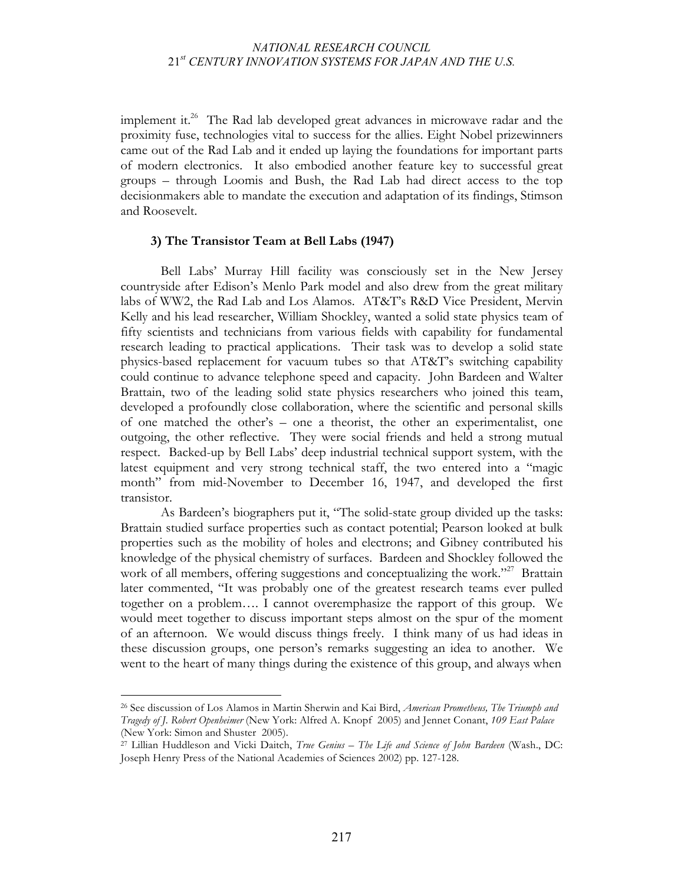implement it.<sup>26</sup> The Rad lab developed great advances in microwave radar and the proximity fuse, technologies vital to success for the allies. Eight Nobel prizewinners came out of the Rad Lab and it ended up laying the foundations for important parts of modern electronics. It also embodied another feature key to successful great groups – through Loomis and Bush, the Rad Lab had direct access to the top decisionmakers able to mandate the execution and adaptation of its findings, Stimson and Roosevelt.

### **3) The Transistor Team at Bell Labs (1947)**

Bell Labs' Murray Hill facility was consciously set in the New Jersey countryside after Edison's Menlo Park model and also drew from the great military labs of WW2, the Rad Lab and Los Alamos. AT&T's R&D Vice President, Mervin Kelly and his lead researcher, William Shockley, wanted a solid state physics team of fifty scientists and technicians from various fields with capability for fundamental research leading to practical applications. Their task was to develop a solid state physics-based replacement for vacuum tubes so that AT&T's switching capability could continue to advance telephone speed and capacity. John Bardeen and Walter Brattain, two of the leading solid state physics researchers who joined this team, developed a profoundly close collaboration, where the scientific and personal skills of one matched the other's – one a theorist, the other an experimentalist, one outgoing, the other reflective. They were social friends and held a strong mutual respect. Backed-up by Bell Labs' deep industrial technical support system, with the latest equipment and very strong technical staff, the two entered into a "magic month" from mid-November to December 16, 1947, and developed the first transistor.

As Bardeen's biographers put it, "The solid-state group divided up the tasks: Brattain studied surface properties such as contact potential; Pearson looked at bulk properties such as the mobility of holes and electrons; and Gibney contributed his knowledge of the physical chemistry of surfaces. Bardeen and Shockley followed the work of all members, offering suggestions and conceptualizing the work."<sup>27</sup> Brattain later commented, "It was probably one of the greatest research teams ever pulled together on a problem…. I cannot overemphasize the rapport of this group. We would meet together to discuss important steps almost on the spur of the moment of an afternoon. We would discuss things freely. I think many of us had ideas in these discussion groups, one person's remarks suggesting an idea to another. We went to the heart of many things during the existence of this group, and always when

<sup>26</sup> See discussion of Los Alamos in Martin Sherwin and Kai Bird, *American Prometheus, The Triumph and Tragedy of J. Robert Openheimer* (New York: Alfred A. Knopf 2005) and Jennet Conant, *109 East Palace* (New York: Simon and Shuster 2005).

<sup>27</sup> Lillian Huddleson and Vicki Daitch, *True Genius – The Life and Science of John Bardeen* (Wash., DC: Joseph Henry Press of the National Academies of Sciences 2002) pp. 127-128.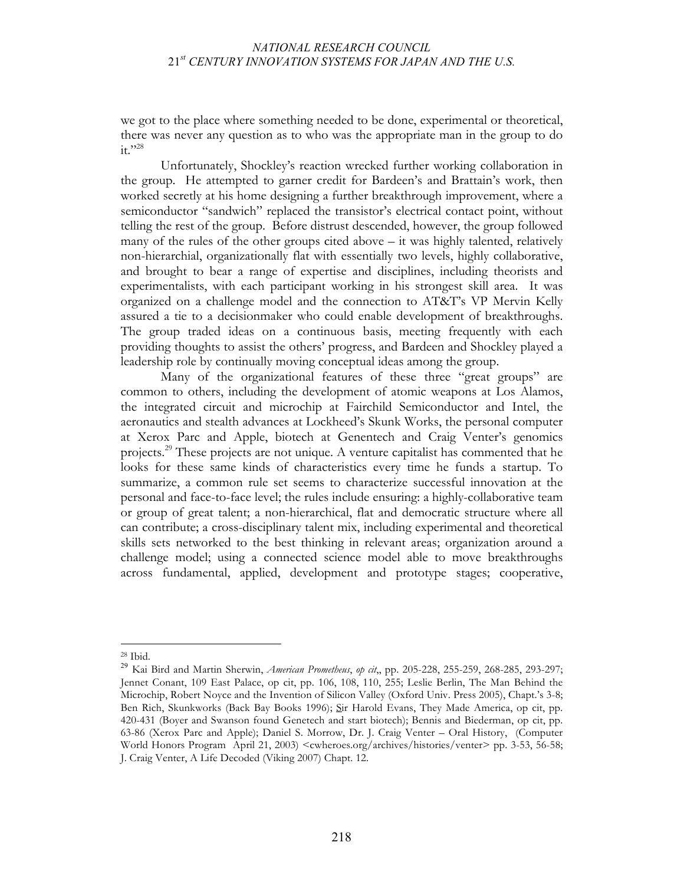we got to the place where something needed to be done, experimental or theoretical, there was never any question as to who was the appropriate man in the group to do  $it$ .  $28$ 

Unfortunately, Shockley's reaction wrecked further working collaboration in the group. He attempted to garner credit for Bardeen's and Brattain's work, then worked secretly at his home designing a further breakthrough improvement, where a semiconductor "sandwich" replaced the transistor's electrical contact point, without telling the rest of the group. Before distrust descended, however, the group followed many of the rules of the other groups cited above – it was highly talented, relatively non-hierarchial, organizationally flat with essentially two levels, highly collaborative, and brought to bear a range of expertise and disciplines, including theorists and experimentalists, with each participant working in his strongest skill area. It was organized on a challenge model and the connection to AT&T's VP Mervin Kelly assured a tie to a decisionmaker who could enable development of breakthroughs. The group traded ideas on a continuous basis, meeting frequently with each providing thoughts to assist the others' progress, and Bardeen and Shockley played a leadership role by continually moving conceptual ideas among the group.

Many of the organizational features of these three "great groups" are common to others, including the development of atomic weapons at Los Alamos, the integrated circuit and microchip at Fairchild Semiconductor and Intel, the aeronautics and stealth advances at Lockheed's Skunk Works, the personal computer at Xerox Parc and Apple, biotech at Genentech and Craig Venter's genomics projects.<sup>29</sup> These projects are not unique. A venture capitalist has commented that he looks for these same kinds of characteristics every time he funds a startup. To summarize, a common rule set seems to characterize successful innovation at the personal and face-to-face level; the rules include ensuring: a highly-collaborative team or group of great talent; a non-hierarchical, flat and democratic structure where all can contribute; a cross-disciplinary talent mix, including experimental and theoretical skills sets networked to the best thinking in relevant areas; organization around a challenge model; using a connected science model able to move breakthroughs across fundamental, applied, development and prototype stages; cooperative,

<sup>28</sup> Ibid. <sup>29</sup> Kai Bird and Martin Sherwin, *American Prometheus*, *op cit*,, pp. 205-228, 255-259, 268-285, 293-297; Jennet Conant, 109 East Palace, op cit, pp. 106, 108, 110, 255; Leslie Berlin, The Man Behind the Microchip, Robert Noyce and the Invention of Silicon Valley (Oxford Univ. Press 2005), Chapt.'s 3-8; Ben Rich, Skunkworks (Back Bay Books 1996); Sir Harold Evans, They Made America, op cit, pp. 420-431 (Boyer and Swanson found Genetech and start biotech); Bennis and Biederman, op cit, pp. 63-86 (Xerox Parc and Apple); Daniel S. Morrow, Dr. J. Craig Venter – Oral History, (Computer World Honors Program April 21, 2003) <cwheroes.org/archives/histories/venter> pp. 3-53, 56-58; J. Craig Venter, A Life Decoded (Viking 2007) Chapt. 12.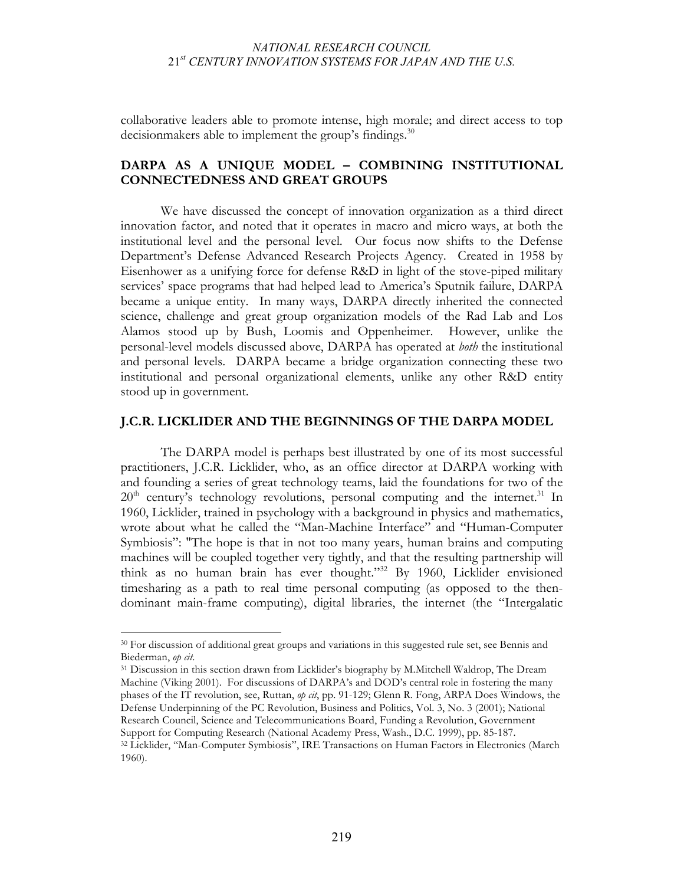collaborative leaders able to promote intense, high morale; and direct access to top decisionmakers able to implement the group's findings.<sup>30</sup>

# **DARPA AS A UNIQUE MODEL – COMBINING INSTITUTIONAL CONNECTEDNESS AND GREAT GROUPS**

We have discussed the concept of innovation organization as a third direct innovation factor, and noted that it operates in macro and micro ways, at both the institutional level and the personal level. Our focus now shifts to the Defense Department's Defense Advanced Research Projects Agency. Created in 1958 by Eisenhower as a unifying force for defense R&D in light of the stove-piped military services' space programs that had helped lead to America's Sputnik failure, DARPA became a unique entity. In many ways, DARPA directly inherited the connected science, challenge and great group organization models of the Rad Lab and Los Alamos stood up by Bush, Loomis and Oppenheimer. However, unlike the personal-level models discussed above, DARPA has operated at *both* the institutional and personal levels. DARPA became a bridge organization connecting these two institutional and personal organizational elements, unlike any other R&D entity stood up in government.

#### **J.C.R. LICKLIDER AND THE BEGINNINGS OF THE DARPA MODEL**

The DARPA model is perhaps best illustrated by one of its most successful practitioners, J.C.R. Licklider, who, as an office director at DARPA working with and founding a series of great technology teams, laid the foundations for two of the  $20<sup>th</sup>$  century's technology revolutions, personal computing and the internet.<sup>31</sup> In 1960, Licklider, trained in psychology with a background in physics and mathematics, wrote about what he called the "Man-Machine Interface" and "Human-Computer Symbiosis": "The hope is that in not too many years, human brains and computing machines will be coupled together very tightly, and that the resulting partnership will think as no human brain has ever thought."32 By 1960, Licklider envisioned timesharing as a path to real time personal computing (as opposed to the thendominant main-frame computing), digital libraries, the internet (the "Intergalatic

 $\overline{a}$ 

31 Discussion in this section drawn from Licklider's biography by M.Mitchell Waldrop, The Dream Machine (Viking 2001). For discussions of DARPA's and DOD's central role in fostering the many phases of the IT revolution, see, Ruttan, *op cit*, pp. 91-129; Glenn R. Fong, ARPA Does Windows, the Defense Underpinning of the PC Revolution, Business and Politics, Vol. 3, No. 3 (2001); National Research Council, Science and Telecommunications Board, Funding a Revolution, Government Support for Computing Research (National Academy Press, Wash., D.C. 1999), pp. 85-187.<br><sup>32</sup> Licklider, "Man-Computer Symbiosis", IRE Transactions on Human Factors in Electronics (March 1960).

<sup>30</sup> For discussion of additional great groups and variations in this suggested rule set, see Bennis and Biederman, *op cit*.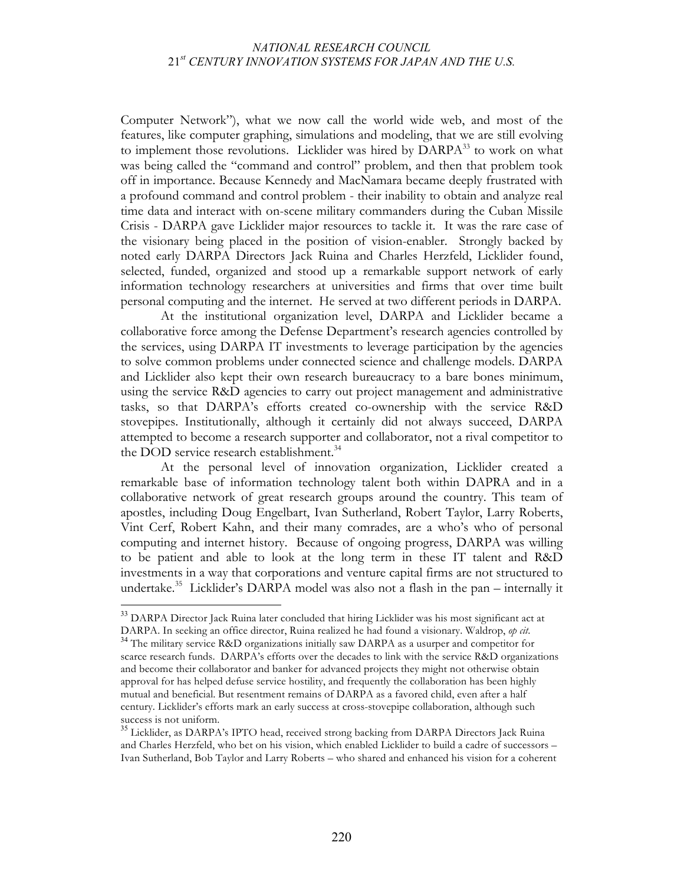Computer Network"), what we now call the world wide web, and most of the features, like computer graphing, simulations and modeling, that we are still evolving to implement those revolutions. Licklider was hired by  $DARPA^{33}$  to work on what was being called the "command and control" problem, and then that problem took off in importance. Because Kennedy and MacNamara became deeply frustrated with a profound command and control problem - their inability to obtain and analyze real time data and interact with on-scene military commanders during the Cuban Missile Crisis - DARPA gave Licklider major resources to tackle it. It was the rare case of the visionary being placed in the position of vision-enabler. Strongly backed by noted early DARPA Directors Jack Ruina and Charles Herzfeld, Licklider found, selected, funded, organized and stood up a remarkable support network of early information technology researchers at universities and firms that over time built personal computing and the internet. He served at two different periods in DARPA.

At the institutional organization level, DARPA and Licklider became a collaborative force among the Defense Department's research agencies controlled by the services, using DARPA IT investments to leverage participation by the agencies to solve common problems under connected science and challenge models. DARPA and Licklider also kept their own research bureaucracy to a bare bones minimum, using the service R&D agencies to carry out project management and administrative tasks, so that DARPA's efforts created co-ownership with the service R&D stovepipes. Institutionally, although it certainly did not always succeed, DARPA attempted to become a research supporter and collaborator, not a rival competitor to the DOD service research establishment.<sup>34</sup>

At the personal level of innovation organization, Licklider created a remarkable base of information technology talent both within DAPRA and in a collaborative network of great research groups around the country. This team of apostles, including Doug Engelbart, Ivan Sutherland, Robert Taylor, Larry Roberts, Vint Cerf, Robert Kahn, and their many comrades, are a who's who of personal computing and internet history. Because of ongoing progress, DARPA was willing to be patient and able to look at the long term in these IT talent and R&D investments in a way that corporations and venture capital firms are not structured to undertake.<sup>35</sup> Licklider's DARPA model was also not a flash in the pan – internally it

<sup>&</sup>lt;sup>33</sup> DARPA Director Jack Ruina later concluded that hiring Licklider was his most significant act at DARPA. In seeking an office director, Ruina realized he had found a visionary. Waldrop, *op cit*.

<sup>&</sup>lt;sup>34</sup> The military service R&D organizations initially saw DARPA as a usurper and competitor for scarce research funds. DARPA's efforts over the decades to link with the service R&D organizations and become their collaborator and banker for advanced projects they might not otherwise obtain approval for has helped defuse service hostility, and frequently the collaboration has been highly mutual and beneficial. But resentment remains of DARPA as a favored child, even after a half century. Licklider's efforts mark an early success at cross-stovepipe collaboration, although such

success is not uniform.<br><sup>35</sup> Licklider, as DARPA's IPTO head, received strong backing from DARPA Directors Jack Ruina and Charles Herzfeld, who bet on his vision, which enabled Licklider to build a cadre of successors – Ivan Sutherland, Bob Taylor and Larry Roberts – who shared and enhanced his vision for a coherent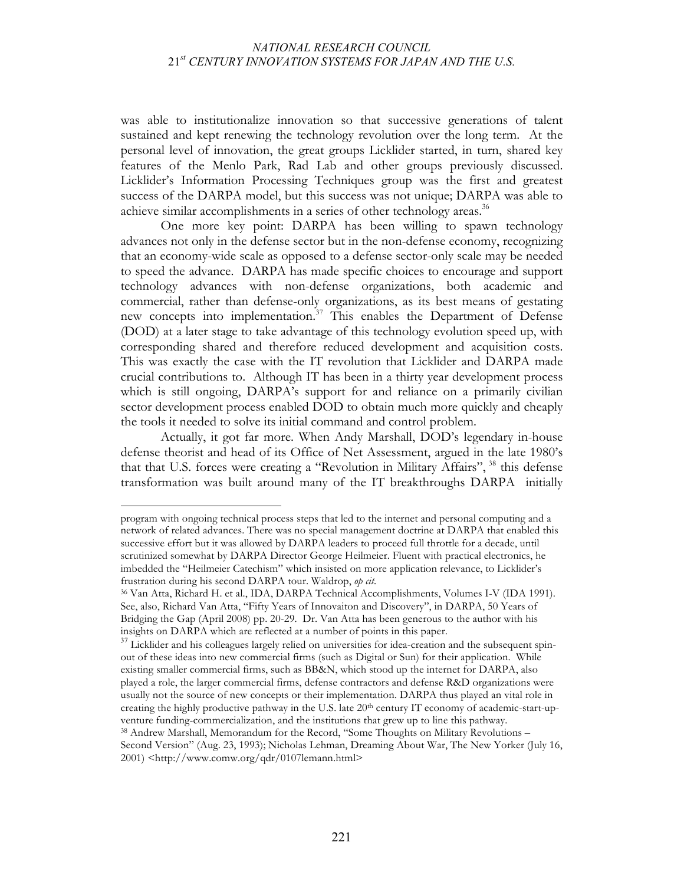was able to institutionalize innovation so that successive generations of talent sustained and kept renewing the technology revolution over the long term. At the personal level of innovation, the great groups Licklider started, in turn, shared key features of the Menlo Park, Rad Lab and other groups previously discussed. Licklider's Information Processing Techniques group was the first and greatest success of the DARPA model, but this success was not unique; DARPA was able to achieve similar accomplishments in a series of other technology areas.<sup>36</sup>

One more key point: DARPA has been willing to spawn technology advances not only in the defense sector but in the non-defense economy, recognizing that an economy-wide scale as opposed to a defense sector-only scale may be needed to speed the advance. DARPA has made specific choices to encourage and support technology advances with non-defense organizations, both academic and commercial, rather than defense-only organizations, as its best means of gestating new concepts into implementation.<sup>37</sup> This enables the Department of Defense (DOD) at a later stage to take advantage of this technology evolution speed up, with corresponding shared and therefore reduced development and acquisition costs. This was exactly the case with the IT revolution that Licklider and DARPA made crucial contributions to. Although IT has been in a thirty year development process which is still ongoing, DARPA's support for and reliance on a primarily civilian sector development process enabled DOD to obtain much more quickly and cheaply the tools it needed to solve its initial command and control problem.

Actually, it got far more. When Andy Marshall, DOD's legendary in-house defense theorist and head of its Office of Net Assessment, argued in the late 1980's that that U.S. forces were creating a "Revolution in Military Affairs", <sup>38</sup> this defense transformation was built around many of the IT breakthroughs DARPA initially

program with ongoing technical process steps that led to the internet and personal computing and a network of related advances. There was no special management doctrine at DARPA that enabled this successive effort but it was allowed by DARPA leaders to proceed full throttle for a decade, until scrutinized somewhat by DARPA Director George Heilmeier. Fluent with practical electronics, he imbedded the "Heilmeier Catechism" which insisted on more application relevance, to Licklider's frustration during his second DARPA tour. Waldrop, *op cit*. 36 Van Atta, Richard H. et al., IDA, DARPA Technical Accomplishments, Volumes I-V (IDA 1991).

See, also, Richard Van Atta, "Fifty Years of Innovaiton and Discovery", in DARPA, 50 Years of Bridging the Gap (April 2008) pp. 20-29. Dr. Van Atta has been generous to the author with his insights on DARPA which are reflected at a number of points in this paper.

<sup>&</sup>lt;sup>37</sup> Licklider and his colleagues largely relied on universities for idea-creation and the subsequent spinout of these ideas into new commercial firms (such as Digital or Sun) for their application. While existing smaller commercial firms, such as BB&N, which stood up the internet for DARPA, also played a role, the larger commercial firms, defense contractors and defense R&D organizations were usually not the source of new concepts or their implementation. DARPA thus played an vital role in creating the highly productive pathway in the U.S. late 20th century IT economy of academic-start-upventure funding-commercialization, and the institutions that grew up to line this pathway.<br><sup>38</sup> Andrew Marshall, Memorandum for the Record, "Some Thoughts on Military Revolutions –

Second Version" (Aug. 23, 1993); Nicholas Lehman, Dreaming About War, The New Yorker (July 16, 2001) <http://www.comw.org/qdr/0107lemann.html>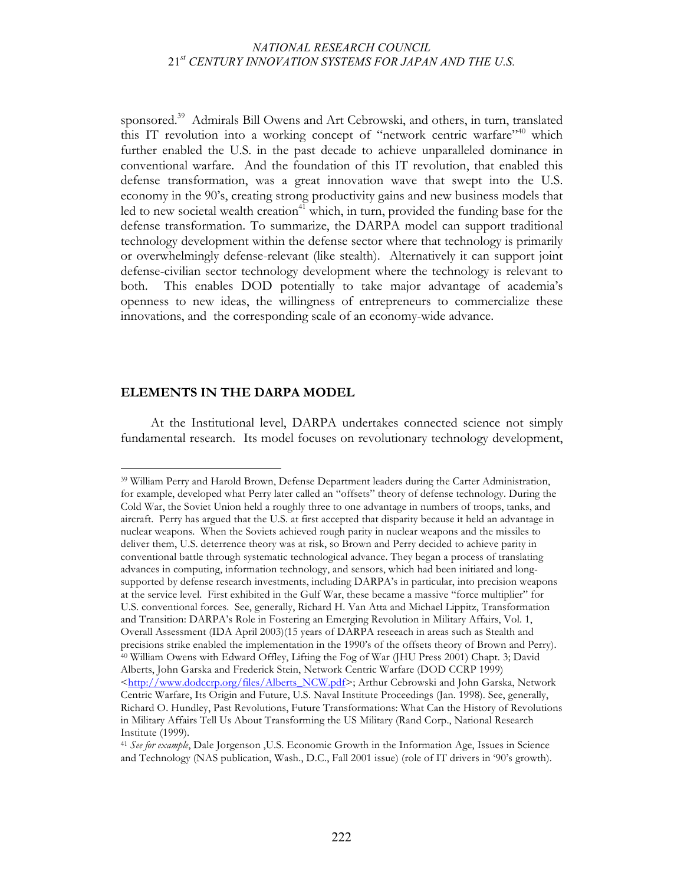sponsored.<sup>39</sup> Admirals Bill Owens and Art Cebrowski, and others, in turn, translated this IT revolution into a working concept of "network centric warfare"<sup>40</sup> which further enabled the U.S. in the past decade to achieve unparalleled dominance in conventional warfare. And the foundation of this IT revolution, that enabled this defense transformation, was a great innovation wave that swept into the U.S. economy in the 90's, creating strong productivity gains and new business models that led to new societal wealth creation<sup>41</sup> which, in turn, provided the funding base for the defense transformation. To summarize, the DARPA model can support traditional technology development within the defense sector where that technology is primarily or overwhelmingly defense-relevant (like stealth). Alternatively it can support joint defense-civilian sector technology development where the technology is relevant to both. This enables DOD potentially to take major advantage of academia's openness to new ideas, the willingness of entrepreneurs to commercialize these innovations, and the corresponding scale of an economy-wide advance.

#### **ELEMENTS IN THE DARPA MODEL**

 $\overline{a}$ 

At the Institutional level, DARPA undertakes connected science not simply fundamental research. Its model focuses on revolutionary technology development,

<sup>39</sup> William Perry and Harold Brown, Defense Department leaders during the Carter Administration, for example, developed what Perry later called an "offsets" theory of defense technology. During the Cold War, the Soviet Union held a roughly three to one advantage in numbers of troops, tanks, and aircraft. Perry has argued that the U.S. at first accepted that disparity because it held an advantage in nuclear weapons. When the Soviets achieved rough parity in nuclear weapons and the missiles to deliver them, U.S. deterrence theory was at risk, so Brown and Perry decided to achieve parity in conventional battle through systematic technological advance. They began a process of translating advances in computing, information technology, and sensors, which had been initiated and longsupported by defense research investments, including DARPA's in particular, into precision weapons at the service level. First exhibited in the Gulf War, these became a massive "force multiplier" for U.S. conventional forces. See, generally, Richard H. Van Atta and Michael Lippitz, Transformation and Transition: DARPA's Role in Fostering an Emerging Revolution in Military Affairs, Vol. 1, Overall Assessment (IDA April 2003)(15 years of DARPA reseeach in areas such as Stealth and precisions strike enabled the implementation in the 1990's of the offsets theory of Brown and Perry). 40 William Owens with Edward Offley, Lifting the Fog of War (JHU Press 2001) Chapt. 3; David Alberts, John Garska and Frederick Stein, Network Centric Warfare (DOD CCRP 1999) <http://www.dodccrp.org/files/Alberts\_NCW.pdf>; Arthur Cebrowski and John Garska, Network Centric Warfare, Its Origin and Future, U.S. Naval Institute Proceedings (Jan. 1998). See, generally, Richard O. Hundley, Past Revolutions, Future Transformations: What Can the History of Revolutions in Military Affairs Tell Us About Transforming the US Military (Rand Corp., National Research Institute (1999).

<sup>41</sup> *See for example*, Dale Jorgenson ,U.S. Economic Growth in the Information Age, Issues in Science and Technology (NAS publication, Wash., D.C., Fall 2001 issue) (role of IT drivers in '90's growth).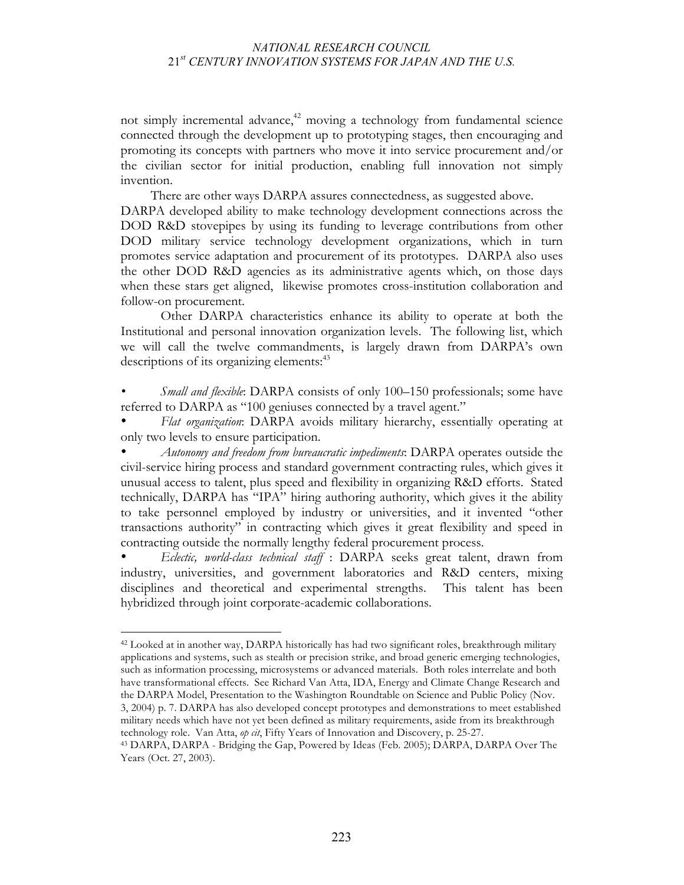not simply incremental advance,<sup>42</sup> moving a technology from fundamental science connected through the development up to prototyping stages, then encouraging and promoting its concepts with partners who move it into service procurement and/or the civilian sector for initial production, enabling full innovation not simply invention.

There are other ways DARPA assures connectedness, as suggested above.

DARPA developed ability to make technology development connections across the DOD R&D stovepipes by using its funding to leverage contributions from other DOD military service technology development organizations, which in turn promotes service adaptation and procurement of its prototypes. DARPA also uses the other DOD R&D agencies as its administrative agents which, on those days when these stars get aligned, likewise promotes cross-institution collaboration and follow-on procurement.

Other DARPA characteristics enhance its ability to operate at both the Institutional and personal innovation organization levels. The following list, which we will call the twelve commandments, is largely drawn from DARPA's own descriptions of its organizing elements:<sup>43</sup>

*Small and flexible*: DARPA consists of only 100–150 professionals; some have referred to DARPA as "100 geniuses connected by a travel agent."

• *Flat organization*: DARPA avoids military hierarchy, essentially operating at only two levels to ensure participation.

• *Autonomy and freedom from bureaucratic impediments*: DARPA operates outside the civil-service hiring process and standard government contracting rules, which gives it unusual access to talent, plus speed and flexibility in organizing R&D efforts. Stated technically, DARPA has "IPA" hiring authoring authority, which gives it the ability to take personnel employed by industry or universities, and it invented "other transactions authority" in contracting which gives it great flexibility and speed in contracting outside the normally lengthy federal procurement process.

• *Eclectic, world-class technical staff* : DARPA seeks great talent, drawn from industry, universities, and government laboratories and R&D centers, mixing disciplines and theoretical and experimental strengths. This talent has been hybridized through joint corporate-academic collaborations.

<sup>42</sup> Looked at in another way, DARPA historically has had two significant roles, breakthrough military applications and systems, such as stealth or precision strike, and broad generic emerging technologies, such as information processing, microsystems or advanced materials. Both roles interrelate and both have transformational effects. See Richard Van Atta, IDA, Energy and Climate Change Research and the DARPA Model, Presentation to the Washington Roundtable on Science and Public Policy (Nov. 3, 2004) p. 7. DARPA has also developed concept prototypes and demonstrations to meet established military needs which have not yet been defined as military requirements, aside from its breakthrough technology role. Van Atta, *op cit*, Fifty Years of Innovation and Discovery, p. 25-27.

<sup>43</sup> DARPA, DARPA - Bridging the Gap, Powered by Ideas (Feb. 2005); DARPA, DARPA Over The Years (Oct. 27, 2003).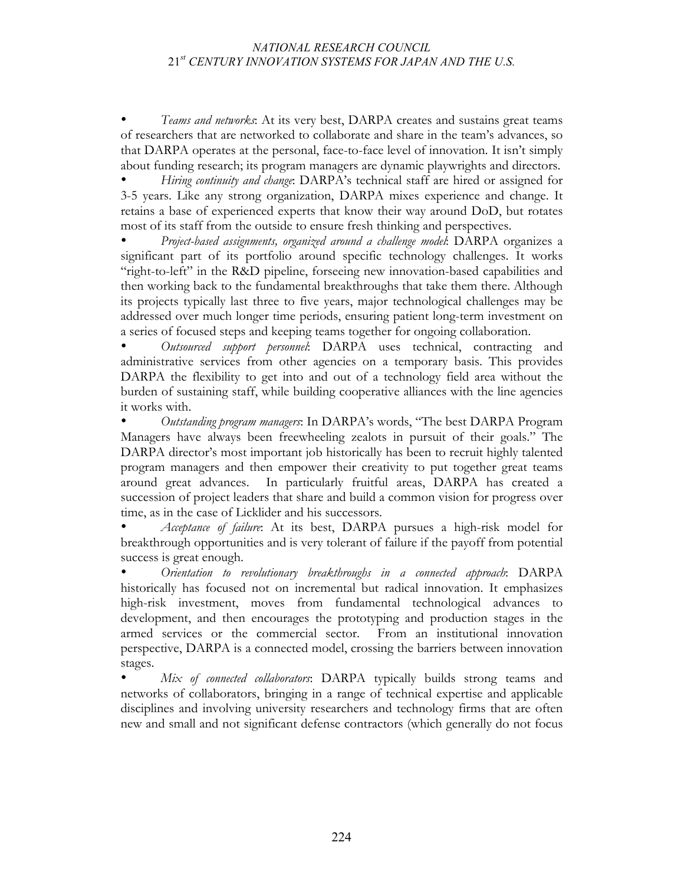• *Teams and networks*: At its very best, DARPA creates and sustains great teams of researchers that are networked to collaborate and share in the team's advances, so that DARPA operates at the personal, face-to-face level of innovation. It isn't simply about funding research; its program managers are dynamic playwrights and directors.

• *Hiring continuity and change*: DARPA's technical staff are hired or assigned for 3-5 years. Like any strong organization, DARPA mixes experience and change. It retains a base of experienced experts that know their way around DoD, but rotates most of its staff from the outside to ensure fresh thinking and perspectives.

• *Project-based assignments, organized around a challenge model*: DARPA organizes a significant part of its portfolio around specific technology challenges. It works "right-to-left" in the R&D pipeline, forseeing new innovation-based capabilities and then working back to the fundamental breakthroughs that take them there. Although its projects typically last three to five years, major technological challenges may be addressed over much longer time periods, ensuring patient long-term investment on a series of focused steps and keeping teams together for ongoing collaboration.

• *Outsourced support personnel*: DARPA uses technical, contracting and administrative services from other agencies on a temporary basis. This provides DARPA the flexibility to get into and out of a technology field area without the burden of sustaining staff, while building cooperative alliances with the line agencies it works with.

• *Outstanding program managers*: In DARPA's words, "The best DARPA Program Managers have always been freewheeling zealots in pursuit of their goals." The DARPA director's most important job historically has been to recruit highly talented program managers and then empower their creativity to put together great teams around great advances. In particularly fruitful areas, DARPA has created a succession of project leaders that share and build a common vision for progress over time, as in the case of Licklider and his successors.

• *Acceptance of failure*: At its best, DARPA pursues a high-risk model for breakthrough opportunities and is very tolerant of failure if the payoff from potential success is great enough.

• *Orientation to revolutionary breakthroughs in a connected approach*: DARPA historically has focused not on incremental but radical innovation. It emphasizes high-risk investment, moves from fundamental technological advances to development, and then encourages the prototyping and production stages in the armed services or the commercial sector. From an institutional innovation perspective, DARPA is a connected model, crossing the barriers between innovation stages.

• *Mix of connected collaborators*: DARPA typically builds strong teams and networks of collaborators, bringing in a range of technical expertise and applicable disciplines and involving university researchers and technology firms that are often new and small and not significant defense contractors (which generally do not focus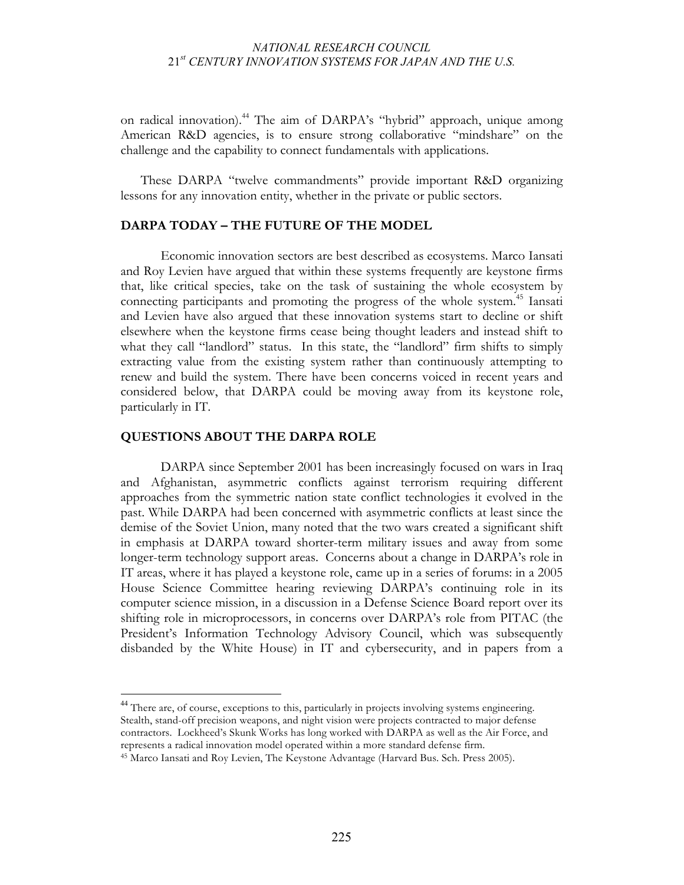on radical innovation).44 The aim of DARPA's "hybrid" approach, unique among American R&D agencies, is to ensure strong collaborative "mindshare" on the challenge and the capability to connect fundamentals with applications.

These DARPA "twelve commandments" provide important R&D organizing lessons for any innovation entity, whether in the private or public sectors.

#### **DARPA TODAY – THE FUTURE OF THE MODEL**

Economic innovation sectors are best described as ecosystems. Marco Iansati and Roy Levien have argued that within these systems frequently are keystone firms that, like critical species, take on the task of sustaining the whole ecosystem by connecting participants and promoting the progress of the whole system.<sup>45</sup> Iansati and Levien have also argued that these innovation systems start to decline or shift elsewhere when the keystone firms cease being thought leaders and instead shift to what they call "landlord" status. In this state, the "landlord" firm shifts to simply extracting value from the existing system rather than continuously attempting to renew and build the system. There have been concerns voiced in recent years and considered below, that DARPA could be moving away from its keystone role, particularly in IT.

### **QUESTIONS ABOUT THE DARPA ROLE**

DARPA since September 2001 has been increasingly focused on wars in Iraq and Afghanistan, asymmetric conflicts against terrorism requiring different approaches from the symmetric nation state conflict technologies it evolved in the past. While DARPA had been concerned with asymmetric conflicts at least since the demise of the Soviet Union, many noted that the two wars created a significant shift in emphasis at DARPA toward shorter-term military issues and away from some longer-term technology support areas. Concerns about a change in DARPA's role in IT areas, where it has played a keystone role, came up in a series of forums: in a 2005 House Science Committee hearing reviewing DARPA's continuing role in its computer science mission, in a discussion in a Defense Science Board report over its shifting role in microprocessors, in concerns over DARPA's role from PITAC (the President's Information Technology Advisory Council, which was subsequently disbanded by the White House) in IT and cybersecurity, and in papers from a

<sup>&</sup>lt;sup>44</sup> There are, of course, exceptions to this, particularly in projects involving systems engineering. Stealth, stand-off precision weapons, and night vision were projects contracted to major defense contractors. Lockheed's Skunk Works has long worked with DARPA as well as the Air Force, and represents a radical innovation model operated within a more standard defense firm.

<sup>45</sup> Marco Iansati and Roy Levien, The Keystone Advantage (Harvard Bus. Sch. Press 2005).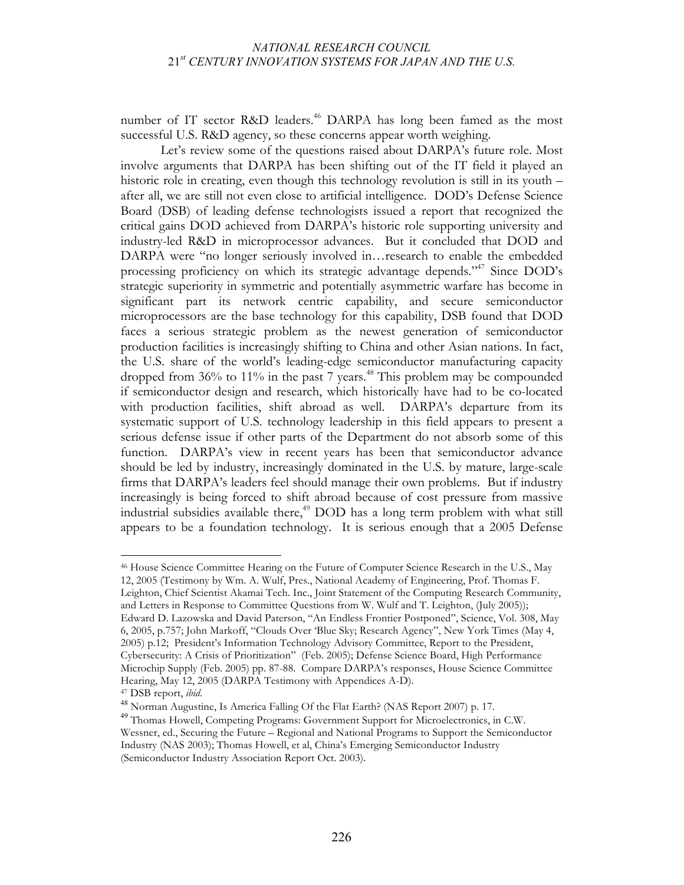number of IT sector R&D leaders.<sup>46</sup> DARPA has long been famed as the most successful U.S. R&D agency, so these concerns appear worth weighing.

Let's review some of the questions raised about DARPA's future role. Most involve arguments that DARPA has been shifting out of the IT field it played an historic role in creating, even though this technology revolution is still in its youth – after all, we are still not even close to artificial intelligence. DOD's Defense Science Board (DSB) of leading defense technologists issued a report that recognized the critical gains DOD achieved from DARPA's historic role supporting university and industry-led R&D in microprocessor advances. But it concluded that DOD and DARPA were "no longer seriously involved in…research to enable the embedded processing proficiency on which its strategic advantage depends."<sup>47</sup> Since DOD's strategic superiority in symmetric and potentially asymmetric warfare has become in significant part its network centric capability, and secure semiconductor microprocessors are the base technology for this capability, DSB found that DOD faces a serious strategic problem as the newest generation of semiconductor production facilities is increasingly shifting to China and other Asian nations. In fact, the U.S. share of the world's leading-edge semiconductor manufacturing capacity dropped from  $36\%$  to  $11\%$  in the past 7 years.<sup>48</sup> This problem may be compounded if semiconductor design and research, which historically have had to be co-located with production facilities, shift abroad as well. DARPA's departure from its systematic support of U.S. technology leadership in this field appears to present a serious defense issue if other parts of the Department do not absorb some of this function. DARPA's view in recent years has been that semiconductor advance should be led by industry, increasingly dominated in the U.S. by mature, large-scale firms that DARPA's leaders feel should manage their own problems. But if industry increasingly is being forced to shift abroad because of cost pressure from massive industrial subsidies available there,<sup>49</sup> DOD has a long term problem with what still appears to be a foundation technology. It is serious enough that a 2005 Defense

<sup>46</sup> House Science Committee Hearing on the Future of Computer Science Research in the U.S., May 12, 2005 (Testimony by Wm. A. Wulf, Pres., National Academy of Engineering, Prof. Thomas F.

Leighton, Chief Scientist Akamai Tech. Inc., Joint Statement of the Computing Research Community, and Letters in Response to Committee Questions from W. Wulf and T. Leighton, (July 2005)); Edward D. Lazowska and David Paterson, "An Endless Frontier Postponed", Science, Vol. 308, May 6, 2005, p.757; John Markoff, "Clouds Over 'Blue Sky; Research Agency", New York Times (May 4, 2005) p.12; President's Information Technology Advisory Committee, Report to the President, Cybersecurity: A Crisis of Prioritization" (Feb. 2005); Defense Science Board, High Performance Microchip Supply (Feb. 2005) pp. 87-88. Compare DARPA's responses, House Science Committee Hearing, May 12, 2005 (DARPA Testimony with Appendices A-D).

<sup>47</sup> DSB report, *ibid*. <sup>48</sup> Norman Augustine, Is America Falling Of the Flat Earth? (NAS Report 2007) p. 17. <sup>49</sup> Thomas Howell, Competing Programs: Government Support for Microelectronics, in C.W. Wessner, ed., Securing the Future – Regional and National Programs to Support the Semiconductor Industry (NAS 2003); Thomas Howell, et al, China's Emerging Semiconductor Industry (Semiconductor Industry Association Report Oct. 2003).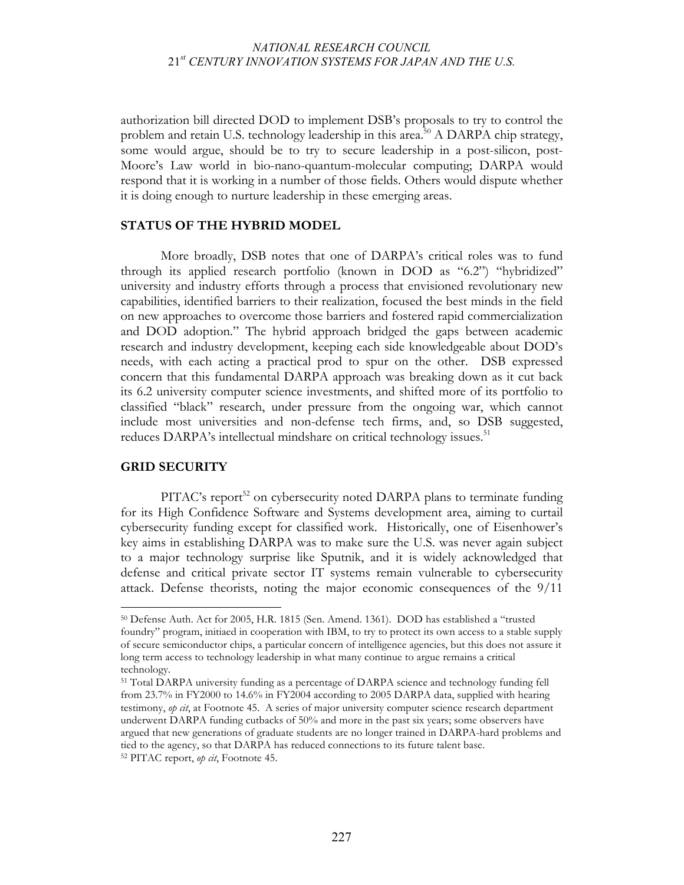authorization bill directed DOD to implement DSB's proposals to try to control the problem and retain U.S. technology leadership in this area.<sup>50</sup> A DARPA chip strategy, some would argue, should be to try to secure leadership in a post-silicon, post-Moore's Law world in bio-nano-quantum-molecular computing; DARPA would respond that it is working in a number of those fields. Others would dispute whether it is doing enough to nurture leadership in these emerging areas.

#### **STATUS OF THE HYBRID MODEL**

More broadly, DSB notes that one of DARPA's critical roles was to fund through its applied research portfolio (known in DOD as "6.2") "hybridized" university and industry efforts through a process that envisioned revolutionary new capabilities, identified barriers to their realization, focused the best minds in the field on new approaches to overcome those barriers and fostered rapid commercialization and DOD adoption." The hybrid approach bridged the gaps between academic research and industry development, keeping each side knowledgeable about DOD's needs, with each acting a practical prod to spur on the other. DSB expressed concern that this fundamental DARPA approach was breaking down as it cut back its 6.2 university computer science investments, and shifted more of its portfolio to classified "black" research, under pressure from the ongoing war, which cannot include most universities and non-defense tech firms, and, so DSB suggested, reduces DARPA's intellectual mindshare on critical technology issues.<sup>51</sup>

# **GRID SECURITY**

 $\overline{a}$ 

PITAC's report<sup>52</sup> on cybersecurity noted DARPA plans to terminate funding for its High Confidence Software and Systems development area, aiming to curtail cybersecurity funding except for classified work. Historically, one of Eisenhower's key aims in establishing DARPA was to make sure the U.S. was never again subject to a major technology surprise like Sputnik, and it is widely acknowledged that defense and critical private sector IT systems remain vulnerable to cybersecurity attack. Defense theorists, noting the major economic consequences of the 9/11

<sup>50</sup> Defense Auth. Act for 2005, H.R. 1815 (Sen. Amend. 1361). DOD has established a "trusted foundry" program, initiaed in cooperation with IBM, to try to protect its own access to a stable supply of secure semiconductor chips, a particular concern of intelligence agencies, but this does not assure it long term access to technology leadership in what many continue to argue remains a critical technology.

<sup>51</sup> Total DARPA university funding as a percentage of DARPA science and technology funding fell from 23.7% in FY2000 to 14.6% in FY2004 according to 2005 DARPA data, supplied with hearing testimony, *op cit*, at Footnote 45. A series of major university computer science research department underwent DARPA funding cutbacks of 50% and more in the past six years; some observers have argued that new generations of graduate students are no longer trained in DARPA-hard problems and tied to the agency, so that DARPA has reduced connections to its future talent base. 52 PITAC report, *op cit*, Footnote 45.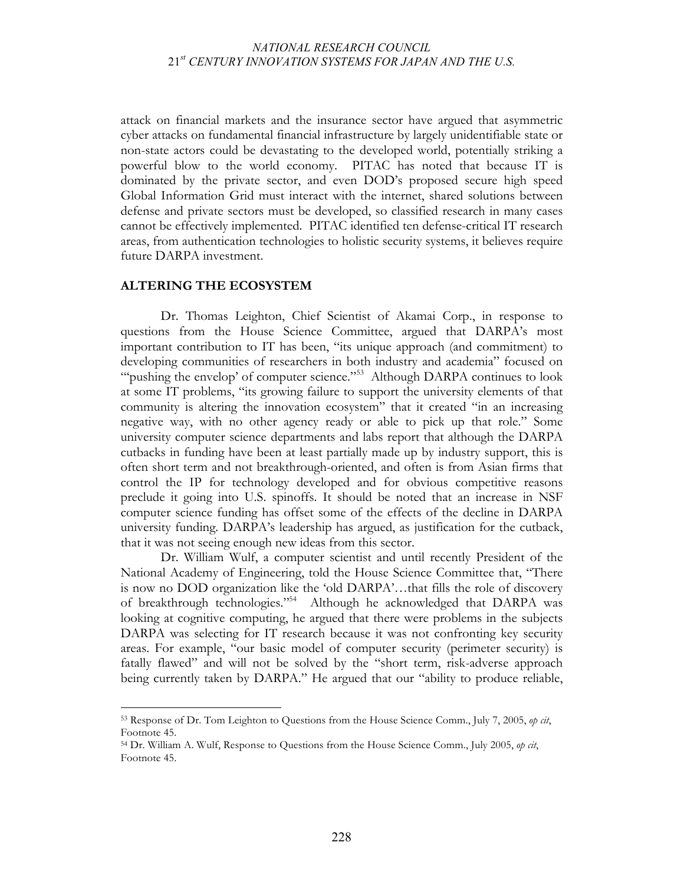attack on financial markets and the insurance sector have argued that asymmetric cyber attacks on fundamental financial infrastructure by largely unidentifiable state or non-state actors could be devastating to the developed world, potentially striking a powerful blow to the world economy. PITAC has noted that because IT is dominated by the private sector, and even DOD's proposed secure high speed Global Information Grid must interact with the internet, shared solutions between defense and private sectors must be developed, so classified research in many cases cannot be effectively implemented. PITAC identified ten defense-critical IT research areas, from authentication technologies to holistic security systems, it believes require future DARPA investment.

# **ALTERING THE ECOSYSTEM**

 $\overline{a}$ 

Dr. Thomas Leighton, Chief Scientist of Akamai Corp., in response to questions from the House Science Committee, argued that DARPA's most important contribution to IT has been, "its unique approach (and commitment) to developing communities of researchers in both industry and academia" focused on "'pushing the envelop' of computer science."<sup>53</sup> Although DARPA continues to look at some IT problems, "its growing failure to support the university elements of that community is altering the innovation ecosystem" that it created "in an increasing negative way, with no other agency ready or able to pick up that role." Some university computer science departments and labs report that although the DARPA cutbacks in funding have been at least partially made up by industry support, this is often short term and not breakthrough-oriented, and often is from Asian firms that control the IP for technology developed and for obvious competitive reasons preclude it going into U.S. spinoffs. It should be noted that an increase in NSF computer science funding has offset some of the effects of the decline in DARPA university funding. DARPA's leadership has argued, as justification for the cutback, that it was not seeing enough new ideas from this sector.

Dr. William Wulf, a computer scientist and until recently President of the National Academy of Engineering, told the House Science Committee that, "There is now no DOD organization like the 'old DARPA'…that fills the role of discovery of breakthrough technologies."54 Although he acknowledged that DARPA was looking at cognitive computing, he argued that there were problems in the subjects DARPA was selecting for IT research because it was not confronting key security areas. For example, "our basic model of computer security (perimeter security) is fatally flawed" and will not be solved by the "short term, risk-adverse approach being currently taken by DARPA." He argued that our "ability to produce reliable,

<sup>53</sup> Response of Dr. Tom Leighton to Questions from the House Science Comm., July 7, 2005, *op cit*, Footnote 45.

<sup>54</sup> Dr. William A. Wulf, Response to Questions from the House Science Comm., July 2005, *op cit*, Footnote 45.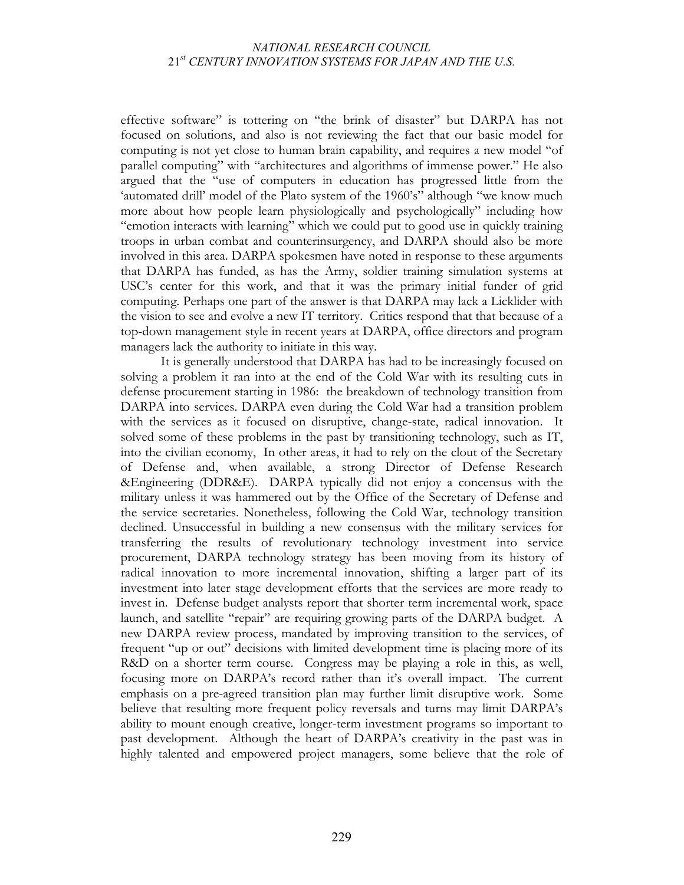effective software" is tottering on "the brink of disaster" but DARPA has not focused on solutions, and also is not reviewing the fact that our basic model for computing is not yet close to human brain capability, and requires a new model "of parallel computing" with "architectures and algorithms of immense power." He also argued that the "use of computers in education has progressed little from the 'automated drill' model of the Plato system of the 1960's" although "we know much more about how people learn physiologically and psychologically" including how "emotion interacts with learning" which we could put to good use in quickly training troops in urban combat and counterinsurgency, and DARPA should also be more involved in this area. DARPA spokesmen have noted in response to these arguments that DARPA has funded, as has the Army, soldier training simulation systems at USC's center for this work, and that it was the primary initial funder of grid computing. Perhaps one part of the answer is that DARPA may lack a Licklider with the vision to see and evolve a new IT territory. Critics respond that that because of a top-down management style in recent years at DARPA, office directors and program managers lack the authority to initiate in this way.

 It is generally understood that DARPA has had to be increasingly focused on solving a problem it ran into at the end of the Cold War with its resulting cuts in defense procurement starting in 1986: the breakdown of technology transition from DARPA into services. DARPA even during the Cold War had a transition problem with the services as it focused on disruptive, change-state, radical innovation. It solved some of these problems in the past by transitioning technology, such as IT, into the civilian economy, In other areas, it had to rely on the clout of the Secretary of Defense and, when available, a strong Director of Defense Research &Engineering (DDR&E). DARPA typically did not enjoy a concensus with the military unless it was hammered out by the Office of the Secretary of Defense and the service secretaries. Nonetheless, following the Cold War, technology transition declined. Unsuccessful in building a new consensus with the military services for transferring the results of revolutionary technology investment into service procurement, DARPA technology strategy has been moving from its history of radical innovation to more incremental innovation, shifting a larger part of its investment into later stage development efforts that the services are more ready to invest in. Defense budget analysts report that shorter term incremental work, space launch, and satellite "repair" are requiring growing parts of the DARPA budget. A new DARPA review process, mandated by improving transition to the services, of frequent "up or out" decisions with limited development time is placing more of its R&D on a shorter term course. Congress may be playing a role in this, as well, focusing more on DARPA's record rather than it's overall impact. The current emphasis on a pre-agreed transition plan may further limit disruptive work. Some believe that resulting more frequent policy reversals and turns may limit DARPA's ability to mount enough creative, longer-term investment programs so important to past development. Although the heart of DARPA's creativity in the past was in highly talented and empowered project managers, some believe that the role of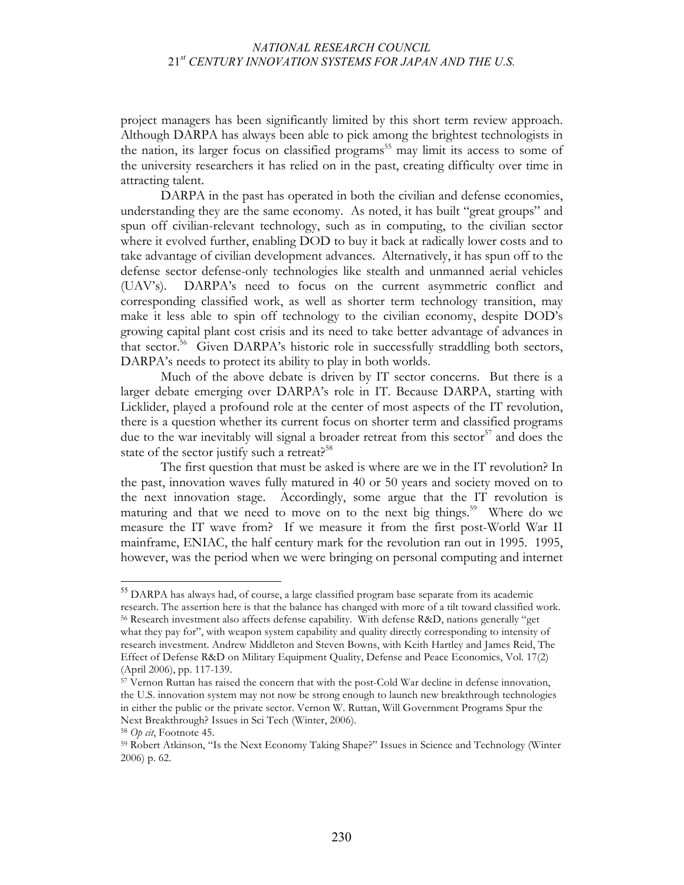project managers has been significantly limited by this short term review approach. Although DARPA has always been able to pick among the brightest technologists in the nation, its larger focus on classified programs<sup>55</sup> may limit its access to some of the university researchers it has relied on in the past, creating difficulty over time in attracting talent.

DARPA in the past has operated in both the civilian and defense economies, understanding they are the same economy. As noted, it has built "great groups" and spun off civilian-relevant technology, such as in computing, to the civilian sector where it evolved further, enabling DOD to buy it back at radically lower costs and to take advantage of civilian development advances. Alternatively, it has spun off to the defense sector defense-only technologies like stealth and unmanned aerial vehicles (UAV's). DARPA's need to focus on the current asymmetric conflict and corresponding classified work, as well as shorter term technology transition, may make it less able to spin off technology to the civilian economy, despite DOD's growing capital plant cost crisis and its need to take better advantage of advances in that sector.<sup>56</sup> Given DARPA's historic role in successfully straddling both sectors, DARPA's needs to protect its ability to play in both worlds.

Much of the above debate is driven by IT sector concerns. But there is a larger debate emerging over DARPA's role in IT. Because DARPA, starting with Licklider, played a profound role at the center of most aspects of the IT revolution, there is a question whether its current focus on shorter term and classified programs due to the war inevitably will signal a broader retreat from this sector<sup>57</sup> and does the state of the sector justify such a retreat?<sup>58</sup>

The first question that must be asked is where are we in the IT revolution? In the past, innovation waves fully matured in 40 or 50 years and society moved on to the next innovation stage. Accordingly, some argue that the IT revolution is maturing and that we need to move on to the next big things.<sup>59</sup> Where do we measure the IT wave from? If we measure it from the first post-World War II mainframe, ENIAC, the half century mark for the revolution ran out in 1995. 1995, however, was the period when we were bringing on personal computing and internet

<sup>&</sup>lt;sup>55</sup> DARPA has always had, of course, a large classified program base separate from its academic research. The assertion here is that the balance has changed with more of a tilt toward classified work. 56 Research investment also affects defense capability. With defense R&D, nations generally "get what they pay for", with weapon system capability and quality directly corresponding to intensity of research investment. Andrew Middleton and Steven Bowns, with Keith Hartley and James Reid, The Effect of Defense R&D on Military Equipment Quality, Defense and Peace Economics, Vol. 17(2) (April 2006), pp. 117-139.<br><sup>57</sup> Vernon Ruttan has raised the concern that with the post-Cold War decline in defense innovation,

the U.S. innovation system may not now be strong enough to launch new breakthrough technologies in either the public or the private sector. Vernon W. Ruttan, Will Government Programs Spur the Next Breakthrough? Issues in Sci Tech (Winter, 2006).

<sup>58</sup> *Op cit*, Footnote 45.

<sup>59</sup> Robert Atkinson, "Is the Next Economy Taking Shape?" Issues in Science and Technology (Winter 2006) p. 62.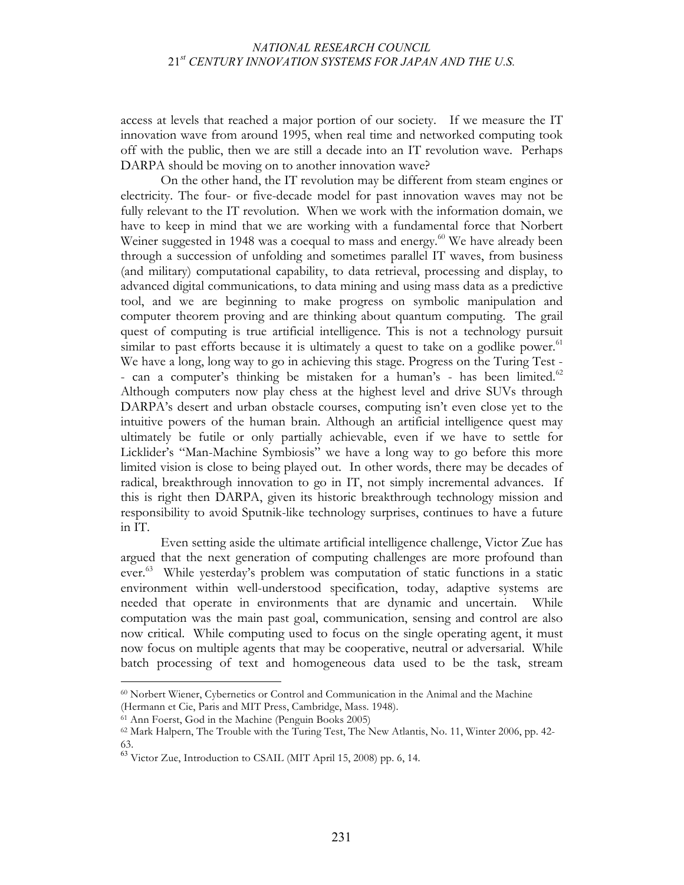access at levels that reached a major portion of our society. If we measure the IT innovation wave from around 1995, when real time and networked computing took off with the public, then we are still a decade into an IT revolution wave. Perhaps DARPA should be moving on to another innovation wave?

On the other hand, the IT revolution may be different from steam engines or electricity. The four- or five-decade model for past innovation waves may not be fully relevant to the IT revolution. When we work with the information domain, we have to keep in mind that we are working with a fundamental force that Norbert Weiner suggested in 1948 was a coequal to mass and energy.<sup>60</sup> We have already been through a succession of unfolding and sometimes parallel IT waves, from business (and military) computational capability, to data retrieval, processing and display, to advanced digital communications, to data mining and using mass data as a predictive tool, and we are beginning to make progress on symbolic manipulation and computer theorem proving and are thinking about quantum computing. The grail quest of computing is true artificial intelligence. This is not a technology pursuit similar to past efforts because it is ultimately a quest to take on a godlike power.<sup>61</sup> We have a long, long way to go in achieving this stage. Progress on the Turing Test - - can a computer's thinking be mistaken for a human's - has been limited.<sup>62</sup> Although computers now play chess at the highest level and drive SUVs through DARPA's desert and urban obstacle courses, computing isn't even close yet to the intuitive powers of the human brain. Although an artificial intelligence quest may ultimately be futile or only partially achievable, even if we have to settle for Licklider's "Man-Machine Symbiosis" we have a long way to go before this more limited vision is close to being played out. In other words, there may be decades of radical, breakthrough innovation to go in IT, not simply incremental advances. If this is right then DARPA, given its historic breakthrough technology mission and responsibility to avoid Sputnik-like technology surprises, continues to have a future in IT.

Even setting aside the ultimate artificial intelligence challenge, Victor Zue has argued that the next generation of computing challenges are more profound than ever.<sup>63</sup> While yesterday's problem was computation of static functions in a static environment within well-understood specification, today, adaptive systems are needed that operate in environments that are dynamic and uncertain. While computation was the main past goal, communication, sensing and control are also now critical. While computing used to focus on the single operating agent, it must now focus on multiple agents that may be cooperative, neutral or adversarial. While batch processing of text and homogeneous data used to be the task, stream

<sup>60</sup> Norbert Wiener, Cybernetics or Control and Communication in the Animal and the Machine (Hermann et Cie, Paris and MIT Press, Cambridge, Mass. 1948).

<sup>61</sup> Ann Foerst, God in the Machine (Penguin Books 2005)

<sup>62</sup> Mark Halpern, The Trouble with the Turing Test, The New Atlantis, No. 11, Winter 2006, pp. 42- 63.

 $63$  Victor Zue, Introduction to CSAIL (MIT April 15, 2008) pp. 6, 14.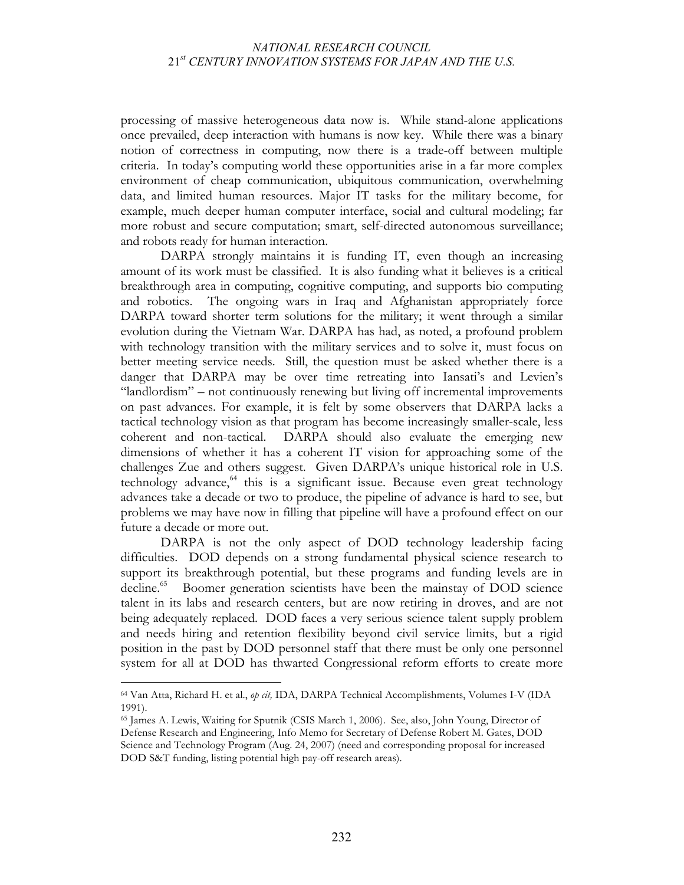processing of massive heterogeneous data now is. While stand-alone applications once prevailed, deep interaction with humans is now key. While there was a binary notion of correctness in computing, now there is a trade-off between multiple criteria. In today's computing world these opportunities arise in a far more complex environment of cheap communication, ubiquitous communication, overwhelming data, and limited human resources. Major IT tasks for the military become, for example, much deeper human computer interface, social and cultural modeling; far more robust and secure computation; smart, self-directed autonomous surveillance; and robots ready for human interaction.

DARPA strongly maintains it is funding IT, even though an increasing amount of its work must be classified. It is also funding what it believes is a critical breakthrough area in computing, cognitive computing, and supports bio computing and robotics. The ongoing wars in Iraq and Afghanistan appropriately force DARPA toward shorter term solutions for the military; it went through a similar evolution during the Vietnam War. DARPA has had, as noted, a profound problem with technology transition with the military services and to solve it, must focus on better meeting service needs. Still, the question must be asked whether there is a danger that DARPA may be over time retreating into Iansati's and Levien's "landlordism" – not continuously renewing but living off incremental improvements on past advances. For example, it is felt by some observers that DARPA lacks a tactical technology vision as that program has become increasingly smaller-scale, less coherent and non-tactical. DARPA should also evaluate the emerging new dimensions of whether it has a coherent IT vision for approaching some of the challenges Zue and others suggest. Given DARPA's unique historical role in U.S. technology advance, $64$  this is a significant issue. Because even great technology advances take a decade or two to produce, the pipeline of advance is hard to see, but problems we may have now in filling that pipeline will have a profound effect on our future a decade or more out.

DARPA is not the only aspect of DOD technology leadership facing difficulties. DOD depends on a strong fundamental physical science research to support its breakthrough potential, but these programs and funding levels are in decline.<sup>65</sup> Boomer generation scientists have been the mainstay of DOD science talent in its labs and research centers, but are now retiring in droves, and are not being adequately replaced. DOD faces a very serious science talent supply problem and needs hiring and retention flexibility beyond civil service limits, but a rigid position in the past by DOD personnel staff that there must be only one personnel system for all at DOD has thwarted Congressional reform efforts to create more

<sup>64</sup> Van Atta, Richard H. et al., *op cit,* IDA, DARPA Technical Accomplishments, Volumes I-V (IDA 1991).

<sup>65</sup> James A. Lewis, Waiting for Sputnik (CSIS March 1, 2006). See, also, John Young, Director of Defense Research and Engineering, Info Memo for Secretary of Defense Robert M. Gates, DOD Science and Technology Program (Aug. 24, 2007) (need and corresponding proposal for increased DOD S&T funding, listing potential high pay-off research areas).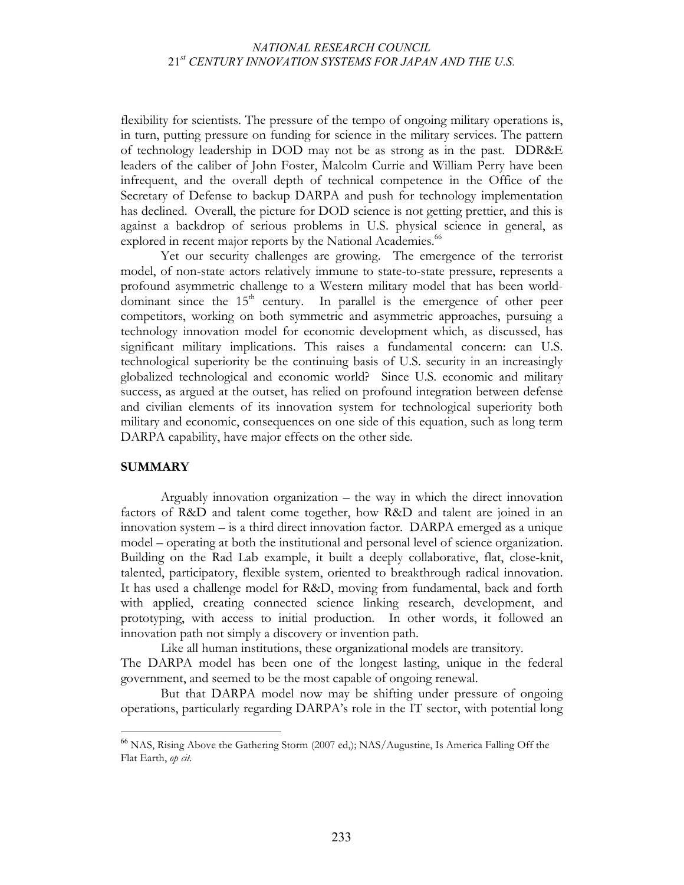flexibility for scientists. The pressure of the tempo of ongoing military operations is, in turn, putting pressure on funding for science in the military services. The pattern of technology leadership in DOD may not be as strong as in the past. DDR&E leaders of the caliber of John Foster, Malcolm Currie and William Perry have been infrequent, and the overall depth of technical competence in the Office of the Secretary of Defense to backup DARPA and push for technology implementation has declined. Overall, the picture for DOD science is not getting prettier, and this is against a backdrop of serious problems in U.S. physical science in general, as explored in recent major reports by the National Academies.<sup>66</sup>

Yet our security challenges are growing. The emergence of the terrorist model, of non-state actors relatively immune to state-to-state pressure, represents a profound asymmetric challenge to a Western military model that has been worlddominant since the 15<sup>th</sup> century. In parallel is the emergence of other peer competitors, working on both symmetric and asymmetric approaches, pursuing a technology innovation model for economic development which, as discussed, has significant military implications. This raises a fundamental concern: can U.S. technological superiority be the continuing basis of U.S. security in an increasingly globalized technological and economic world? Since U.S. economic and military success, as argued at the outset, has relied on profound integration between defense and civilian elements of its innovation system for technological superiority both military and economic, consequences on one side of this equation, such as long term DARPA capability, have major effects on the other side.

# **SUMMARY**

Arguably innovation organization – the way in which the direct innovation factors of R&D and talent come together, how R&D and talent are joined in an innovation system – is a third direct innovation factor. DARPA emerged as a unique model – operating at both the institutional and personal level of science organization. Building on the Rad Lab example, it built a deeply collaborative, flat, close-knit, talented, participatory, flexible system, oriented to breakthrough radical innovation. It has used a challenge model for R&D, moving from fundamental, back and forth with applied, creating connected science linking research, development, and prototyping, with access to initial production. In other words, it followed an innovation path not simply a discovery or invention path.

Like all human institutions, these organizational models are transitory. The DARPA model has been one of the longest lasting, unique in the federal government, and seemed to be the most capable of ongoing renewal.

But that DARPA model now may be shifting under pressure of ongoing operations, particularly regarding DARPA's role in the IT sector, with potential long

<sup>&</sup>lt;sup>66</sup> NAS, Rising Above the Gathering Storm (2007 ed,); NAS/Augustine, Is America Falling Off the Flat Earth, *op cit*.